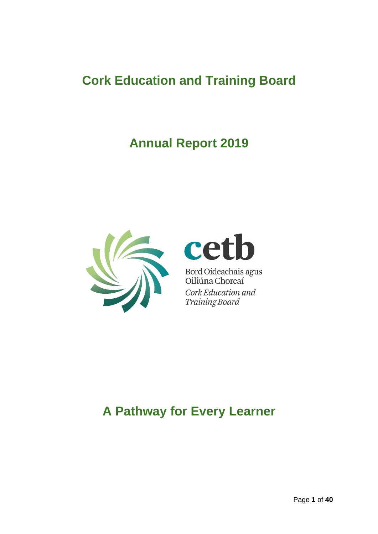# **Cork Education and Training Board**

# **Annual Report 2019**



# cet b

Bord Oideachais agus<br>Oiliúna Chorcaí Cork Education and Training Board

# **A Pathway for Every Learner**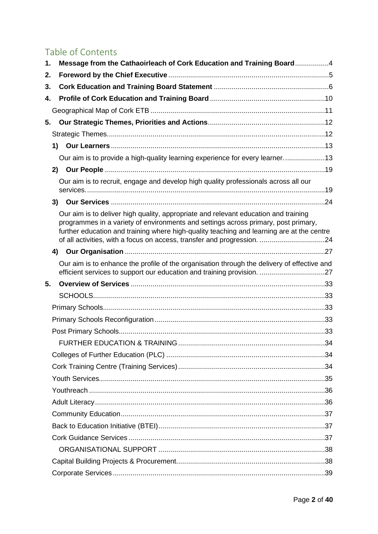# Table of Contents

| 1. | Message from the Cathaoirleach of Cork Education and Training Board4                                                                                                                                                                                                   |  |
|----|------------------------------------------------------------------------------------------------------------------------------------------------------------------------------------------------------------------------------------------------------------------------|--|
| 2. |                                                                                                                                                                                                                                                                        |  |
| 3. |                                                                                                                                                                                                                                                                        |  |
| 4. |                                                                                                                                                                                                                                                                        |  |
|    |                                                                                                                                                                                                                                                                        |  |
| 5. |                                                                                                                                                                                                                                                                        |  |
|    |                                                                                                                                                                                                                                                                        |  |
|    | 1)                                                                                                                                                                                                                                                                     |  |
|    | Our aim is to provide a high-quality learning experience for every learner13                                                                                                                                                                                           |  |
|    | 2)                                                                                                                                                                                                                                                                     |  |
|    | Our aim is to recruit, engage and develop high quality professionals across all our                                                                                                                                                                                    |  |
|    |                                                                                                                                                                                                                                                                        |  |
|    |                                                                                                                                                                                                                                                                        |  |
|    | Our aim is to deliver high quality, appropriate and relevant education and training<br>programmes in a variety of environments and settings across primary, post primary,<br>further education and training where high-quality teaching and learning are at the centre |  |
|    |                                                                                                                                                                                                                                                                        |  |
|    | Our aim is to enhance the profile of the organisation through the delivery of effective and                                                                                                                                                                            |  |
| 5. |                                                                                                                                                                                                                                                                        |  |
|    |                                                                                                                                                                                                                                                                        |  |
|    |                                                                                                                                                                                                                                                                        |  |
|    |                                                                                                                                                                                                                                                                        |  |
|    |                                                                                                                                                                                                                                                                        |  |
|    |                                                                                                                                                                                                                                                                        |  |
|    |                                                                                                                                                                                                                                                                        |  |
|    |                                                                                                                                                                                                                                                                        |  |
|    |                                                                                                                                                                                                                                                                        |  |
|    |                                                                                                                                                                                                                                                                        |  |
|    |                                                                                                                                                                                                                                                                        |  |
|    |                                                                                                                                                                                                                                                                        |  |
|    |                                                                                                                                                                                                                                                                        |  |
|    |                                                                                                                                                                                                                                                                        |  |
|    |                                                                                                                                                                                                                                                                        |  |
|    |                                                                                                                                                                                                                                                                        |  |
|    |                                                                                                                                                                                                                                                                        |  |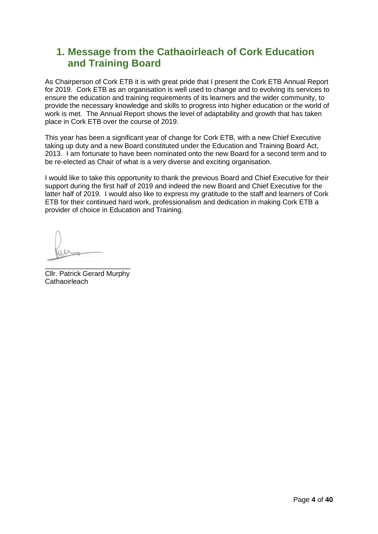# <span id="page-3-0"></span>**1. Message from the Cathaoirleach of Cork Education and Training Board**

As Chairperson of Cork ETB it is with great pride that I present the Cork ETB Annual Report for 2019. Cork ETB as an organisation is well used to change and to evolving its services to ensure the education and training requirements of its learners and the wider community, to provide the necessary knowledge and skills to progress into higher education or the world of work is met. The Annual Report shows the level of adaptability and growth that has taken place in Cork ETB over the course of 2019.

This year has been a significant year of change for Cork ETB, with a new Chief Executive taking up duty and a new Board constituted under the Education and Training Board Act, 2013. I am fortunate to have been nominated onto the new Board for a second term and to be re-elected as Chair of what is a very diverse and exciting organisation.

I would like to take this opportunity to thank the previous Board and Chief Executive for their support during the first half of 2019 and indeed the new Board and Chief Executive for the latter half of 2019. I would also like to express my gratitude to the staff and learners of Cork ETB for their continued hard work, professionalism and dedication in making Cork ETB a provider of choice in Education and Training.

\_\_\_\_\_\_\_\_\_\_\_\_\_\_\_\_\_\_\_\_\_\_ Cllr. Patrick Gerard Murphy **Cathaoirleach**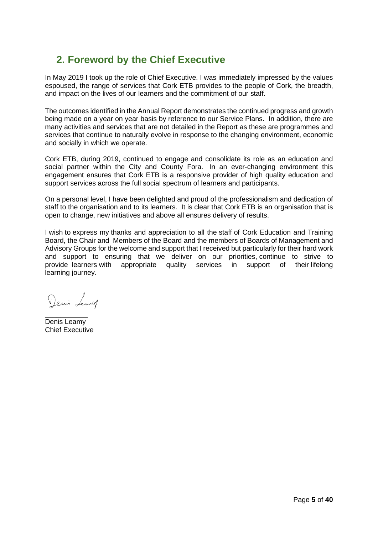# <span id="page-4-0"></span>**2. Foreword by the Chief Executive**

In May 2019 I took up the role of Chief Executive. I was immediately impressed by the values espoused, the range of services that Cork ETB provides to the people of Cork, the breadth, and impact on the lives of our learners and the commitment of our staff.

The outcomes identified in the Annual Report demonstrates the continued progress and growth being made on a year on year basis by reference to our Service Plans. In addition, there are many activities and services that are not detailed in the Report as these are programmes and services that continue to naturally evolve in response to the changing environment, economic and socially in which we operate.

Cork ETB, during 2019, continued to engage and consolidate its role as an education and social partner within the City and County Fora. In an ever-changing environment this engagement ensures that Cork ETB is a responsive provider of high quality education and support services across the full social spectrum of learners and participants.

On a personal level, I have been delighted and proud of the professionalism and dedication of staff to the organisation and to its learners. It is clear that Cork ETB is an organisation that is open to change, new initiatives and above all ensures delivery of results.

I wish to express my thanks and appreciation to all the staff of Cork Education and Training Board, the Chair and Members of the Board and the members of Boards of Management and Advisory Groups for the welcome and support that I received but particularly for their hard work and support to ensuring that we deliver on our priorities, continue to strive to provide learners with appropriate quality services in support of their lifelong learning journey.

Demin Leaving

\_\_\_\_\_\_\_\_\_\_\_ Denis Leamy Chief Executive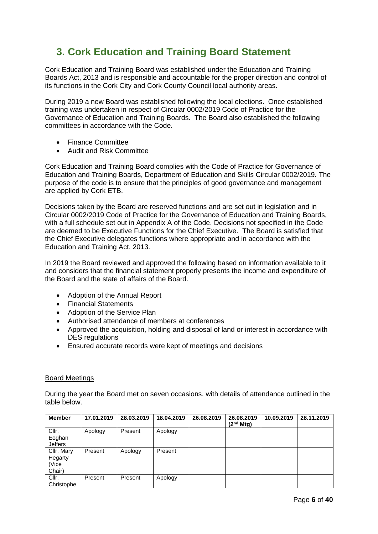# <span id="page-5-0"></span>**3. Cork Education and Training Board Statement**

Cork Education and Training Board was established under the Education and Training Boards Act, 2013 and is responsible and accountable for the proper direction and control of its functions in the Cork City and Cork County Council local authority areas.

During 2019 a new Board was established following the local elections. Once established training was undertaken in respect of Circular 0002/2019 Code of Practice for the Governance of Education and Training Boards. The Board also established the following committees in accordance with the Code.

- Finance Committee
- Audit and Risk Committee

Cork Education and Training Board complies with the Code of Practice for Governance of Education and Training Boards, Department of Education and Skills Circular 0002/2019. The purpose of the code is to ensure that the principles of good governance and management are applied by Cork ETB.

Decisions taken by the Board are reserved functions and are set out in legislation and in Circular 0002/2019 Code of Practice for the Governance of Education and Training Boards, with a full schedule set out in Appendix A of the Code. Decisions not specified in the Code are deemed to be Executive Functions for the Chief Executive. The Board is satisfied that the Chief Executive delegates functions where appropriate and in accordance with the Education and Training Act, 2013.

In 2019 the Board reviewed and approved the following based on information available to it and considers that the financial statement properly presents the income and expenditure of the Board and the state of affairs of the Board.

- Adoption of the Annual Report
- Financial Statements
- Adoption of the Service Plan
- Authorised attendance of members at conferences
- Approved the acquisition, holding and disposal of land or interest in accordance with DES regulations
- Ensured accurate records were kept of meetings and decisions

#### Board Meetings

During the year the Board met on seven occasions, with details of attendance outlined in the table below.

| <b>Member</b>                            | 17.01.2019 | 28.03.2019 | 18.04.2019 | 26.08.2019 | 26.08.2019<br>(2 <sup>nd</sup> Mtg) | 10.09.2019 | 28.11.2019 |
|------------------------------------------|------------|------------|------------|------------|-------------------------------------|------------|------------|
| Cllr.<br>Eoghan<br><b>Jeffers</b>        | Apology    | Present    | Apology    |            |                                     |            |            |
| Cllr. Mary<br>Hegarty<br>(Vice<br>Chair) | Present    | Apology    | Present    |            |                                     |            |            |
| Cllr.<br>Christophe                      | Present    | Present    | Apology    |            |                                     |            |            |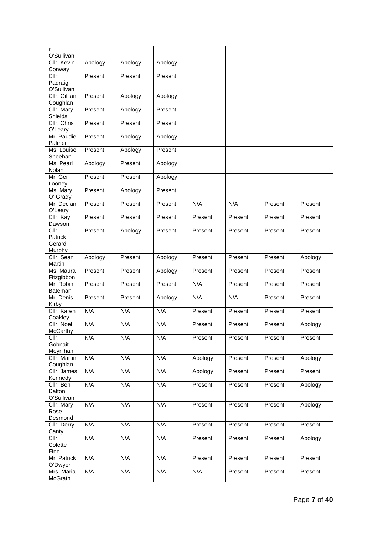| r                                   |         |         |         |         |         |         |         |
|-------------------------------------|---------|---------|---------|---------|---------|---------|---------|
| O'Sullivan<br>Cllr. Kevin           | Apology | Apology | Apology |         |         |         |         |
| Conway                              |         |         |         |         |         |         |         |
| Cllr.                               | Present | Present | Present |         |         |         |         |
| Padraig<br>O'Sullivan               |         |         |         |         |         |         |         |
| Cllr. Gillian                       | Present | Apology | Apology |         |         |         |         |
| Coughlan                            |         |         |         |         |         |         |         |
| Cllr. Mary<br>Shields               | Present | Apology | Present |         |         |         |         |
| Cllr. Chris<br>O'Leary              | Present | Present | Present |         |         |         |         |
| Mr. Paudie<br>Palmer                | Present | Apology | Apology |         |         |         |         |
| Ms. Louise<br>Sheehan               | Present | Apology | Present |         |         |         |         |
| Ms. Pearl<br>Nolan                  | Apology | Present | Apology |         |         |         |         |
| Mr. Ger<br>Looney                   | Present | Present | Apology |         |         |         |         |
| Ms. Mary<br>O' Grady                | Present | Apology | Present |         |         |         |         |
| Mr. Declan                          | Present | Present | Present | N/A     | N/A     | Present | Present |
| O'Leary<br>Cllr. Kay                | Present | Present | Present | Present | Present | Present | Present |
| Dawson<br>$\overline{\text{Clir.}}$ | Present | Apology | Present | Present | Present | Present | Present |
| Patrick                             |         |         |         |         |         |         |         |
| Gerard                              |         |         |         |         |         |         |         |
| Murphy<br>Cllr. Sean                | Apology | Present | Apology | Present | Present | Present | Apology |
| Martin                              |         |         |         |         |         |         |         |
| Ms. Maura<br>Fitzgibbon             | Present | Present | Apology | Present | Present | Present | Present |
| Mr. Robin<br>Bateman                | Present | Present | Present | N/A     | Present | Present | Present |
| Mr. Denis<br>Kirby                  | Present | Present | Apology | N/A     | N/A     | Present | Present |
| Cllr. Karen<br>Coakley              | N/A     | N/A     | N/A     | Present | Present | Present | Present |
| Cllr. Noel<br>McCarthy              | N/A     | N/A     | N/A     | Present | Present | Present | Apology |
| Cllr.                               | N/A     | N/A     | N/A     | Present | Present | Present | Present |
| Gobnait                             |         |         |         |         |         |         |         |
| Moynihan<br>Cllr. Martin            | N/A     | N/A     | N/A     | Apology | Present | Present | Apology |
| Coughlan                            |         |         |         |         |         |         |         |
| Cllr. James<br>Kennedy              | N/A     | N/A     | N/A     | Apology | Present | Present | Present |
| Cllr. Ben                           | N/A     | N/A     | N/A     | Present | Present | Present | Apology |
| Dalton<br>O'Sullivan                |         |         |         |         |         |         |         |
| Cllr. Mary                          | N/A     | N/A     | N/A     | Present | Present | Present | Apology |
| Rose                                |         |         |         |         |         |         |         |
| Desmond<br>Cllr. Derry              | N/A     | N/A     | N/A     | Present | Present | Present | Present |
| Canty                               |         |         |         |         |         |         |         |
| Cllr.                               | N/A     | N/A     | N/A     | Present | Present | Present | Apology |
| Colette<br>Finn                     |         |         |         |         |         |         |         |
| Mr. Patrick<br>O'Dwyer              | N/A     | N/A     | N/A     | Present | Present | Present | Present |
| Mrs. Maria                          | N/A     | N/A     | N/A     | N/A     | Present | Present | Present |
| McGrath                             |         |         |         |         |         |         |         |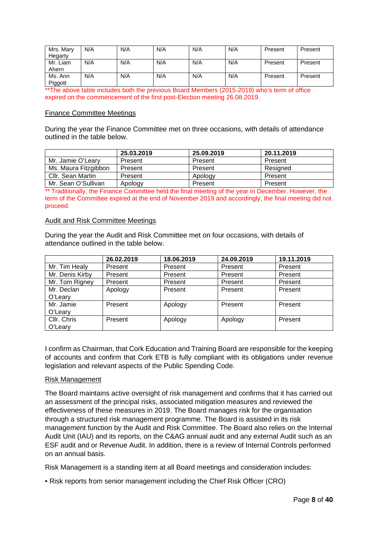| Mrs. Mary<br>Hegarty | N/A | N/A | N/A | N/A | N/A | Present | Present |
|----------------------|-----|-----|-----|-----|-----|---------|---------|
| Mr. Liam<br>Ahern    | N/A | N/A | N/A | N/A | N/A | Present | Present |
| Ms. Ann<br>Piggott   | N/A | N/A | N/A | N/A | N/A | Present | Present |

\*\*The above table includes both the previous Board Members (2015-2019) who's term of office expired on the commencement of the first post-Election meeting 26.08.2019.

#### Finance Committee Meetings

During the year the Finance Committee met on three occasions, with details of attendance outlined in the table below.

|                      | 25.03.2019 | 25.09.2019 | 20.11.2019 |
|----------------------|------------|------------|------------|
| Mr. Jamie O'Learv    | Present    | Present    | Present    |
| Ms. Maura Fitzgibbon | Present    | Present    | Resigned   |
| Cllr. Sean Martin    | Present    | Apology    | Present    |
| Mr. Sean O'Sullivan  | Apology    | Present    | Present    |

\*\* Traditionally, the Finance Committee held the final meeting of the year in December. However, the term of the Committee expired at the end of November 2019 and accordingly, the final meeting did not proceed.

#### Audit and Risk Committee Meetings

During the year the Audit and Risk Committee met on four occasions, with details of attendance outlined in the table below.

|                 | 26.02.2019 | 18.06.2019 | 24.09.2019 | 19.11.2019 |
|-----------------|------------|------------|------------|------------|
| Mr. Tim Healy   | Present    | Present    | Present    | Present    |
| Mr. Denis Kirby | Present    | Present    | Present    | Present    |
| Mr. Tom Rigney  | Present    | Present    | Present    | Present    |
| Mr. Declan      | Apology    | Present    | Present    | Present    |
| O'Leary         |            |            |            |            |
| Mr. Jamie       | Present    | Apology    | Present    | Present    |
| O'Leary         |            |            |            |            |
| Cllr. Chris     | Present    | Apology    | Apology    | Present    |
| O'Leary         |            |            |            |            |

I confirm as Chairman, that Cork Education and Training Board are responsible for the keeping of accounts and confirm that Cork ETB is fully compliant with its obligations under revenue legislation and relevant aspects of the Public Spending Code.

#### Risk Management

The Board maintains active oversight of risk management and confirms that it has carried out an assessment of the principal risks, associated mitigation measures and reviewed the effectiveness of these measures in 2019. The Board manages risk for the organisation through a structured risk management programme. The Board is assisted in its risk management function by the Audit and Risk Committee. The Board also relies on the Internal Audit Unit (IAU) and its reports, on the C&AG annual audit and any external Audit such as an ESF audit and or Revenue Audit. In addition, there is a review of Internal Controls performed on an annual basis.

Risk Management is a standing item at all Board meetings and consideration includes:

• Risk reports from senior management including the Chief Risk Officer (CRO)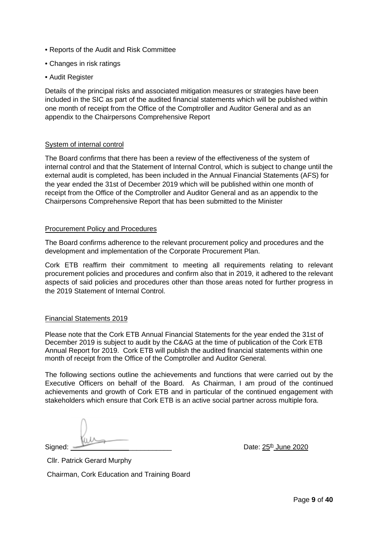- Reports of the Audit and Risk Committee
- Changes in risk ratings
- Audit Register

Details of the principal risks and associated mitigation measures or strategies have been included in the SIC as part of the audited financial statements which will be published within one month of receipt from the Office of the Comptroller and Auditor General and as an appendix to the Chairpersons Comprehensive Report

#### System of internal control

The Board confirms that there has been a review of the effectiveness of the system of internal control and that the Statement of Internal Control, which is subject to change until the external audit is completed, has been included in the Annual Financial Statements (AFS) for the year ended the 31st of December 2019 which will be published within one month of receipt from the Office of the Comptroller and Auditor General and as an appendix to the Chairpersons Comprehensive Report that has been submitted to the Minister

#### Procurement Policy and Procedures

The Board confirms adherence to the relevant procurement policy and procedures and the development and implementation of the Corporate Procurement Plan.

Cork ETB reaffirm their commitment to meeting all requirements relating to relevant procurement policies and procedures and confirm also that in 2019, it adhered to the relevant aspects of said policies and procedures other than those areas noted for further progress in the 2019 Statement of Internal Control.

#### Financial Statements 2019

Please note that the Cork ETB Annual Financial Statements for the year ended the 31st of December 2019 is subject to audit by the C&AG at the time of publication of the Cork ETB Annual Report for 2019. Cork ETB will publish the audited financial statements within one month of receipt from the Office of the Comptroller and Auditor General.

The following sections outline the achievements and functions that were carried out by the Executive Officers on behalf of the Board. As Chairman, I am proud of the continued achievements and growth of Cork ETB and in particular of the continued engagement with stakeholders which ensure that Cork ETB is an active social partner across multiple fora.

Signed:  $\frac{25^{\text{th}}}{1000}$  Date:  $25^{\text{th}}$  June 2020

Cllr. Patrick Gerard Murphy Chairman, Cork Education and Training Board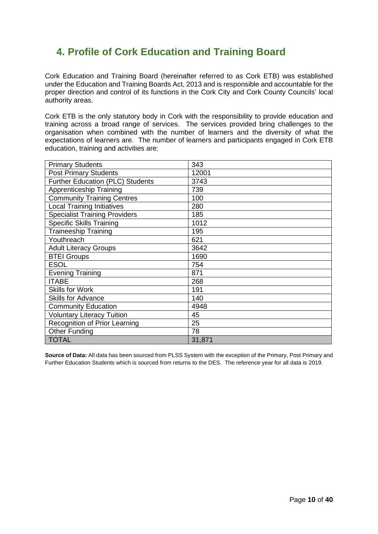# <span id="page-9-0"></span>**4. Profile of Cork Education and Training Board**

Cork Education and Training Board (hereinafter referred to as Cork ETB) was established under the Education and Training Boards Act, 2013 and is responsible and accountable for the proper direction and control of its functions in the Cork City and Cork County Councils' local authority areas.

Cork ETB is the only statutory body in Cork with the responsibility to provide education and training across a broad range of services. The services provided bring challenges to the organisation when combined with the number of learners and the diversity of what the expectations of learners are. The number of learners and participants engaged in Cork ETB education, training and activities are:

| <b>Primary Students</b>              | 343    |
|--------------------------------------|--------|
| <b>Post Primary Students</b>         | 12001  |
| Further Education (PLC) Students     | 3743   |
| <b>Apprenticeship Training</b>       | 739    |
| <b>Community Training Centres</b>    | 100    |
| <b>Local Training Initiatives</b>    | 280    |
| <b>Specialist Training Providers</b> | 185    |
| <b>Specific Skills Training</b>      | 1012   |
| <b>Traineeship Training</b>          | 195    |
| Youthreach                           | 621    |
| <b>Adult Literacy Groups</b>         | 3642   |
| <b>BTEI Groups</b>                   | 1690   |
| <b>ESOL</b>                          | 754    |
| <b>Evening Training</b>              | 871    |
| <b>ITABE</b>                         | 268    |
| <b>Skills for Work</b>               | 191    |
| <b>Skills for Advance</b>            | 140    |
| <b>Community Education</b>           | 4948   |
| <b>Voluntary Literacy Tuition</b>    | 45     |
| Recognition of Prior Learning        | 25     |
| <b>Other Funding</b>                 | 78     |
| <b>TOTAL</b>                         | 31,871 |

**Source of Data:** All data has been sourced from PLSS System with the exception of the Primary, Post Primary and Further Education Students which is sourced from returns to the DES. The reference year for all data is 2019.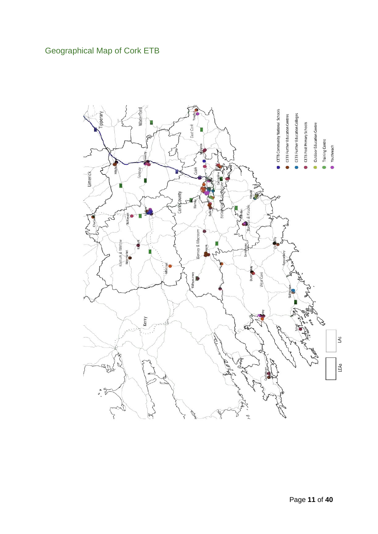# <span id="page-10-0"></span>Geographical Map of Cork ETB

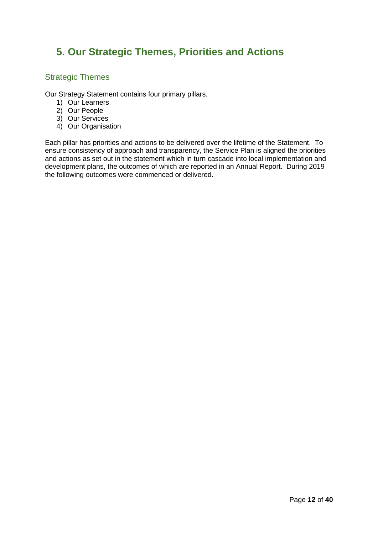# <span id="page-11-0"></span>**5. Our Strategic Themes, Priorities and Actions**

### <span id="page-11-1"></span>Strategic Themes

Our Strategy Statement contains four primary pillars.

- 1) Our Learners
- 2) Our People
- 3) Our Services
- 4) Our Organisation

Each pillar has priorities and actions to be delivered over the lifetime of the Statement. To ensure consistency of approach and transparency, the Service Plan is aligned the priorities and actions as set out in the statement which in turn cascade into local implementation and development plans, the outcomes of which are reported in an Annual Report. During 2019 the following outcomes were commenced or delivered.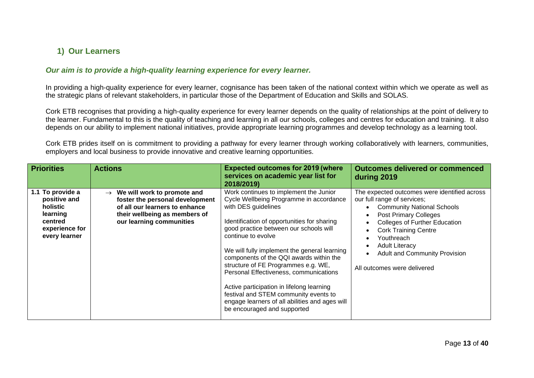# **1) Our Learners**

#### *Our aim is to provide a high-quality learning experience for every learner.*

In providing a high-quality experience for every learner, cognisance has been taken of the national context within which we operate as well as the strategic plans of relevant stakeholders, in particular those of the Department of Education and Skills and SOLAS.

Cork ETB recognises that providing a high-quality experience for every learner depends on the quality of relationships at the point of delivery to the learner. Fundamental to this is the quality of teaching and learning in all our schools, colleges and centres for education and training. It also depends on our ability to implement national initiatives, provide appropriate learning programmes and develop technology as a learning tool.

Cork ETB prides itself on is commitment to providing a pathway for every learner through working collaboratively with learners, communities, employers and local business to provide innovative and creative learning opportunities.

<span id="page-12-1"></span><span id="page-12-0"></span>

| <b>Priorities</b>                                                                                      | <b>Actions</b>                                                                                                                                                                 | <b>Expected outcomes for 2019 (where</b><br>services on academic year list for<br>2018/2019)                                                                                                                                                                                                                                                                                                                                                                                                                                                                               | <b>Outcomes delivered or commenced</b><br>during 2019                                                                                                                                                                                                                                                                                 |
|--------------------------------------------------------------------------------------------------------|--------------------------------------------------------------------------------------------------------------------------------------------------------------------------------|----------------------------------------------------------------------------------------------------------------------------------------------------------------------------------------------------------------------------------------------------------------------------------------------------------------------------------------------------------------------------------------------------------------------------------------------------------------------------------------------------------------------------------------------------------------------------|---------------------------------------------------------------------------------------------------------------------------------------------------------------------------------------------------------------------------------------------------------------------------------------------------------------------------------------|
| 1.1 To provide a<br>positive and<br>holistic<br>learning<br>centred<br>experience for<br>every learner | We will work to promote and<br>$\rightarrow$<br>foster the personal development<br>of all our learners to enhance<br>their wellbeing as members of<br>our learning communities | Work continues to implement the Junior<br>Cycle Wellbeing Programme in accordance<br>with DES guidelines<br>Identification of opportunities for sharing<br>good practice between our schools will<br>continue to evolve<br>We will fully implement the general learning<br>components of the QQI awards within the<br>structure of FE Programmes e.g. WE,<br>Personal Effectiveness, communications<br>Active participation in lifelong learning<br>festival and STEM community events to<br>engage learners of all abilities and ages will<br>be encouraged and supported | The expected outcomes were identified across<br>our full range of services;<br><b>Community National Schools</b><br><b>Post Primary Colleges</b><br><b>Colleges of Further Education</b><br><b>Cork Training Centre</b><br>Youthreach<br><b>Adult Literacy</b><br><b>Adult and Community Provision</b><br>All outcomes were delivered |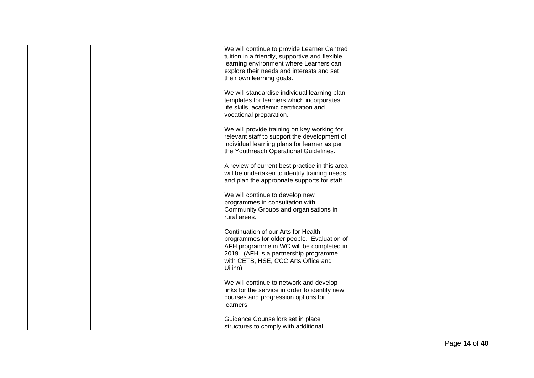|  | We will continue to provide Learner Centred<br>tuition in a friendly, supportive and flexible<br>learning environment where Learners can<br>explore their needs and interests and set<br>their own learning goals.       |  |
|--|--------------------------------------------------------------------------------------------------------------------------------------------------------------------------------------------------------------------------|--|
|  | We will standardise individual learning plan<br>templates for learners which incorporates<br>life skills, academic certification and<br>vocational preparation.                                                          |  |
|  | We will provide training on key working for<br>relevant staff to support the development of<br>individual learning plans for learner as per<br>the Youthreach Operational Guidelines.                                    |  |
|  | A review of current best practice in this area<br>will be undertaken to identify training needs<br>and plan the appropriate supports for staff.                                                                          |  |
|  | We will continue to develop new<br>programmes in consultation with<br>Community Groups and organisations in<br>rural areas.                                                                                              |  |
|  | Continuation of our Arts for Health<br>programmes for older people. Evaluation of<br>AFH programme in WC will be completed in<br>2019. (AFH is a partnership programme<br>with CETB, HSE, CCC Arts Office and<br>Uilinn) |  |
|  | We will continue to network and develop<br>links for the service in order to identify new<br>courses and progression options for<br>learners                                                                             |  |
|  | Guidance Counsellors set in place<br>structures to comply with additional                                                                                                                                                |  |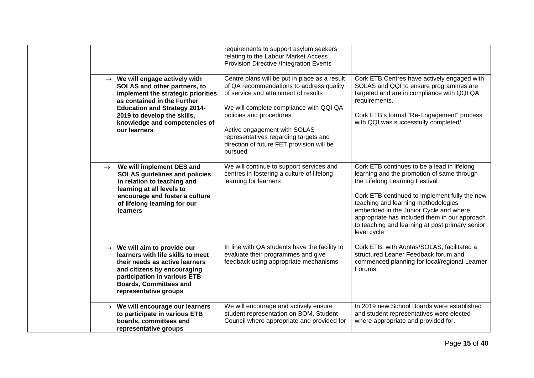|                                                                                                                                                                                                                                                                        | requirements to support asylum seekers<br>relating to the Labour Market Access<br>Provision Directive /Integration Events                                                                                                                                                                                                                |                                                                                                                                                                                                                                                                                                                                                                                  |
|------------------------------------------------------------------------------------------------------------------------------------------------------------------------------------------------------------------------------------------------------------------------|------------------------------------------------------------------------------------------------------------------------------------------------------------------------------------------------------------------------------------------------------------------------------------------------------------------------------------------|----------------------------------------------------------------------------------------------------------------------------------------------------------------------------------------------------------------------------------------------------------------------------------------------------------------------------------------------------------------------------------|
| $\rightarrow$ We will engage actively with<br>SOLAS and other partners, to<br>implement the strategic priorities<br>as contained in the Further<br><b>Education and Strategy 2014-</b><br>2019 to develop the skills,<br>knowledge and competencies of<br>our learners | Centre plans will be put in place as a result<br>of QA recommendations to address quality<br>of service and attainment of results<br>We will complete compliance with QQI QA<br>policies and procedures<br>Active engagement with SOLAS<br>representatives regarding targets and<br>direction of future FET provision will be<br>pursued | Cork ETB Centres have actively engaged with<br>SOLAS and QQI to ensure programmes are<br>targeted and are in compliance with QQI QA<br>requirements.<br>Cork ETB's formal "Re-Engagement" process<br>with QQI was successfully completed/                                                                                                                                        |
| $\rightarrow$ We will implement DES and<br><b>SOLAS guidelines and policies</b><br>in relation to teaching and<br>learning at all levels to<br>encourage and foster a culture<br>of lifelong learning for our<br>learners                                              | We will continue to support services and<br>centres in fostering a culture of lifelong<br>learning for learners                                                                                                                                                                                                                          | Cork ETB continues to be a lead in lifelong<br>learning and the promotion of same through<br>the Lifelong Learning Festival<br>Cork ETB continued to implement fully the new<br>teaching and learning methodologies<br>embedded in the Junior Cycle and where<br>appropriate has included them in our approach<br>to teaching and learning at post primary senior<br>level cycle |
| $\rightarrow$ We will aim to provide our<br>learners with life skills to meet<br>their needs as active learners<br>and citizens by encouraging<br>participation in various ETB<br><b>Boards, Committees and</b><br>representative groups                               | In line with QA students have the facility to<br>evaluate their programmes and give<br>feedback using appropriate mechanisms                                                                                                                                                                                                             | Cork ETB, with Aontas/SOLAS, facilitated a<br>structured Leaner Feedback forum and<br>commenced planning for local/regional Learner<br>Forums.                                                                                                                                                                                                                                   |
| $\rightarrow$ We will encourage our learners<br>to participate in various ETB<br>boards, committees and<br>representative groups                                                                                                                                       | We will encourage and actively ensure<br>student representation on BOM, Student<br>Council where appropriate and provided for                                                                                                                                                                                                            | In 2019 new School Boards were established<br>and student representatives were elected<br>where appropriate and provided for.                                                                                                                                                                                                                                                    |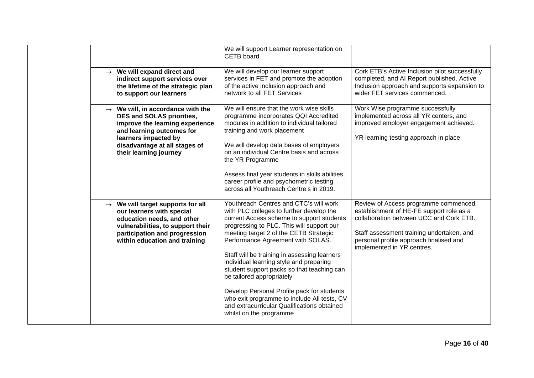|                                                                                                                                                                                                                                      | We will support Learner representation on<br>CETB board                                                                                                                                                                                                                                                                                                                                                                                                                                                                                                                                                  |                                                                                                                                                                                                                                                    |
|--------------------------------------------------------------------------------------------------------------------------------------------------------------------------------------------------------------------------------------|----------------------------------------------------------------------------------------------------------------------------------------------------------------------------------------------------------------------------------------------------------------------------------------------------------------------------------------------------------------------------------------------------------------------------------------------------------------------------------------------------------------------------------------------------------------------------------------------------------|----------------------------------------------------------------------------------------------------------------------------------------------------------------------------------------------------------------------------------------------------|
| $\rightarrow$ We will expand direct and<br>indirect support services over<br>the lifetime of the strategic plan<br>to support our learners                                                                                           | We will develop our learner support<br>services in FET and promote the adoption<br>of the active inclusion approach and<br>network to all FET Services                                                                                                                                                                                                                                                                                                                                                                                                                                                   | Cork ETB's Active Inclusion pilot successfully<br>completed, and AI Report published. Active<br>Inclusion approach and supports expansion to<br>wider FET services commenced.                                                                      |
| $\rightarrow$ We will, in accordance with the<br><b>DES and SOLAS priorities,</b><br>improve the learning experience<br>and learning outcomes for<br>learners impacted by<br>disadvantage at all stages of<br>their learning journey | We will ensure that the work wise skills<br>programme incorporates QQI Accredited<br>modules in addition to individual tailored<br>training and work placement<br>We will develop data bases of employers<br>on an individual Centre basis and across<br>the YR Programme<br>Assess final year students in skills abilities,<br>career profile and psychometric testing<br>across all Youthreach Centre's in 2019.                                                                                                                                                                                       | Work Wise programme successfully<br>implemented across all YR centers, and<br>improved employer engagement achieved.<br>YR learning testing approach in place.                                                                                     |
| $\rightarrow$ We will target supports for all<br>our learners with special<br>education needs, and other<br>vulnerabilities, to support their<br>participation and progression<br>within education and training                      | Youthreach Centres and CTC's will work<br>with PLC colleges to further develop the<br>current Access scheme to support students<br>progressing to PLC. This will support our<br>meeting target 2 of the CETB Strategic<br>Performance Agreement with SOLAS.<br>Staff will be training in assessing learners<br>individual learning style and preparing<br>student support packs so that teaching can<br>be tailored appropriately<br>Develop Personal Profile pack for students<br>who exit programme to include All tests, CV<br>and extracurricular Qualifications obtained<br>whilst on the programme | Review of Access programme commenced,<br>establishment of HE-FE support role as a<br>collaboration between UCC and Cork ETB.<br>Staff assessment training undertaken, and<br>personal profile approach finalised and<br>implemented in YR centres. |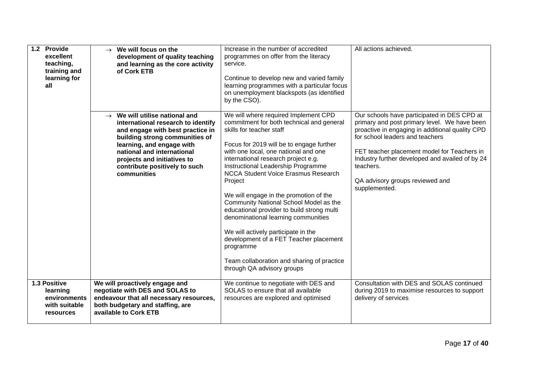| 1.2 Provide<br>excellent<br>teaching,<br>training and<br>learning for<br>all  | We will focus on the<br>$\rightarrow$<br>development of quality teaching<br>and learning as the core activity<br>of Cork ETB                                                                                                                                                                     | Increase in the number of accredited<br>programmes on offer from the literacy<br>service.<br>Continue to develop new and varied family<br>learning programmes with a particular focus<br>on unemployment blackspots (as identified<br>by the CSO).                                                                                                                                                                                                                                                                                                                                                                                                                                         | All actions achieved.                                                                                                                                                                                                                                                                                                                                |
|-------------------------------------------------------------------------------|--------------------------------------------------------------------------------------------------------------------------------------------------------------------------------------------------------------------------------------------------------------------------------------------------|--------------------------------------------------------------------------------------------------------------------------------------------------------------------------------------------------------------------------------------------------------------------------------------------------------------------------------------------------------------------------------------------------------------------------------------------------------------------------------------------------------------------------------------------------------------------------------------------------------------------------------------------------------------------------------------------|------------------------------------------------------------------------------------------------------------------------------------------------------------------------------------------------------------------------------------------------------------------------------------------------------------------------------------------------------|
|                                                                               | $\rightarrow$ We will utilise national and<br>international research to identify<br>and engage with best practice in<br>building strong communities of<br>learning, and engage with<br>national and international<br>projects and initiatives to<br>contribute positively to such<br>communities | We will where required Implement CPD<br>commitment for both technical and general<br>skills for teacher staff<br>Focus for 2019 will be to engage further<br>with one local, one national and one<br>international research project e.g.<br>Instructional Leadership Programme<br><b>NCCA Student Voice Erasmus Research</b><br>Project<br>We will engage in the promotion of the<br>Community National School Model as the<br>educational provider to build strong multi<br>denominational learning communities<br>We will actively participate in the<br>development of a FET Teacher placement<br>programme<br>Team collaboration and sharing of practice<br>through QA advisory groups | Our schools have participated in DES CPD at<br>primary and post primary level. We have been<br>proactive in engaging in additional quality CPD<br>for school leaders and teachers<br>FET teacher placement model for Teachers in<br>Industry further developed and availed of by 24<br>teachers.<br>QA advisory groups reviewed and<br>supplemented. |
| 1.3 Positive<br>learning<br>environments<br>with suitable<br><b>resources</b> | We will proactively engage and<br>negotiate with DES and SOLAS to<br>endeavour that all necessary resources,<br>both budgetary and staffing, are<br>available to Cork ETB                                                                                                                        | We continue to negotiate with DES and<br>SOLAS to ensure that all available<br>resources are explored and optimised                                                                                                                                                                                                                                                                                                                                                                                                                                                                                                                                                                        | Consultation with DES and SOLAS continued<br>during 2019 to maximise resources to support<br>delivery of services                                                                                                                                                                                                                                    |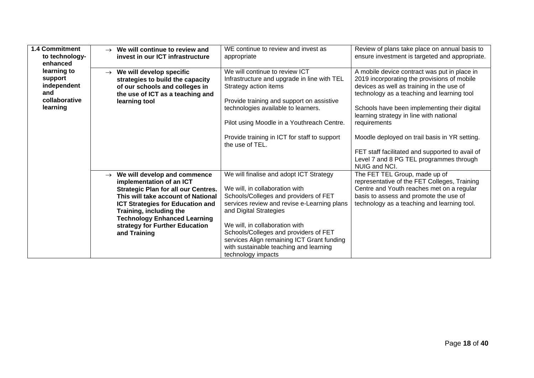| <b>1.4 Commitment</b><br>to technology-<br>enhanced                       | We will continue to review and<br>$\rightarrow$<br>invest in our ICT infrastructure                                                                                                                                                                                                                                          | WE continue to review and invest as<br>appropriate                                                                                                                                                                                                                                                                                                                                   | Review of plans take place on annual basis to<br>ensure investment is targeted and appropriate.                                                                                                                                                                                                                                                                                                       |
|---------------------------------------------------------------------------|------------------------------------------------------------------------------------------------------------------------------------------------------------------------------------------------------------------------------------------------------------------------------------------------------------------------------|--------------------------------------------------------------------------------------------------------------------------------------------------------------------------------------------------------------------------------------------------------------------------------------------------------------------------------------------------------------------------------------|-------------------------------------------------------------------------------------------------------------------------------------------------------------------------------------------------------------------------------------------------------------------------------------------------------------------------------------------------------------------------------------------------------|
| learning to<br>support<br>independent<br>and<br>collaborative<br>learning | We will develop specific<br>$\rightarrow$<br>strategies to build the capacity<br>of our schools and colleges in<br>the use of ICT as a teaching and<br>learning tool                                                                                                                                                         | We will continue to review ICT<br>Infrastructure and upgrade in line with TEL<br>Strategy action items<br>Provide training and support on assistive<br>technologies available to learners.<br>Pilot using Moodle in a Youthreach Centre.<br>Provide training in ICT for staff to support<br>the use of TEL.                                                                          | A mobile device contract was put in place in<br>2019 incorporating the provisions of mobile<br>devices as well as training in the use of<br>technology as a teaching and learning tool<br>Schools have been implementing their digital<br>learning strategy in line with national<br>requirements<br>Moodle deployed on trail basis in YR setting.<br>FET staff facilitated and supported to avail of |
|                                                                           |                                                                                                                                                                                                                                                                                                                              |                                                                                                                                                                                                                                                                                                                                                                                      | Level 7 and 8 PG TEL programmes through<br>NUIG and NCI.                                                                                                                                                                                                                                                                                                                                              |
|                                                                           | We will develop and commence<br>$\rightarrow$<br>implementation of an ICT<br><b>Strategic Plan for all our Centres.</b><br>This will take account of National<br><b>ICT Strategies for Education and</b><br>Training, including the<br><b>Technology Enhanced Learning</b><br>strategy for Further Education<br>and Training | We will finalise and adopt ICT Strategy<br>We will, in collaboration with<br>Schools/Colleges and providers of FET<br>services review and revise e-Learning plans<br>and Digital Strategies<br>We will, in collaboration with<br>Schools/Colleges and providers of FET<br>services Align remaining ICT Grant funding<br>with sustainable teaching and learning<br>technology impacts | The FET TEL Group, made up of<br>representative of the FET Colleges, Training<br>Centre and Youth reaches met on a regular<br>basis to assess and promote the use of<br>technology as a teaching and learning tool.                                                                                                                                                                                   |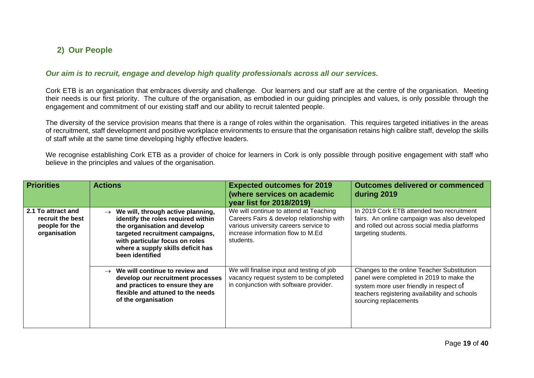# **2) Our People**

#### *Our aim is to recruit, engage and develop high quality professionals across all our services.*

Cork ETB is an organisation that embraces diversity and challenge. Our learners and our staff are at the centre of the organisation. Meeting their needs is our first priority. The culture of the organisation, as embodied in our guiding principles and values, is only possible through the engagement and commitment of our existing staff and our ability to recruit talented people.

The diversity of the service provision means that there is a range of roles within the organisation. This requires targeted initiatives in the areas of recruitment, staff development and positive workplace environments to ensure that the organisation retains high calibre staff, develop the skills of staff while at the same time developing highly effective leaders.

We recognise establishing Cork ETB as a provider of choice for learners in Cork is only possible through positive engagement with staff who believe in the principles and values of the organisation.

<span id="page-18-1"></span><span id="page-18-0"></span>

| <b>Priorities</b>                                                        | <b>Actions</b>                                                                                                                                                                                                                                        | <b>Expected outcomes for 2019</b><br>(where services on academic<br><b>year list for 2018/2019)</b>                                                                            | <b>Outcomes delivered or commenced</b><br>during 2019                                                                                                                                                       |
|--------------------------------------------------------------------------|-------------------------------------------------------------------------------------------------------------------------------------------------------------------------------------------------------------------------------------------------------|--------------------------------------------------------------------------------------------------------------------------------------------------------------------------------|-------------------------------------------------------------------------------------------------------------------------------------------------------------------------------------------------------------|
| 2.1 To attract and<br>recruit the best<br>people for the<br>organisation | We will, through active planning,<br>$\rightarrow$<br>identify the roles required within<br>the organisation and develop<br>targeted recruitment campaigns,<br>with particular focus on roles<br>where a supply skills deficit has<br>been identified | We will continue to attend at Teaching<br>Careers Fairs & develop relationship with<br>various university careers service to<br>increase information flow to M.Ed<br>students. | In 2019 Cork ETB attended two recruitment<br>fairs. An online campaign was also developed<br>and rolled out across social media platforms<br>targeting students.                                            |
|                                                                          | We will continue to review and<br>$\rightarrow$<br>develop our recruitment processes<br>and practices to ensure they are<br>flexible and attuned to the needs<br>of the organisation                                                                  | We will finalise input and testing of job<br>vacancy request system to be completed<br>in conjunction with software provider.                                                  | Changes to the online Teacher Substitution<br>panel were completed in 2019 to make the<br>system more user friendly in respect of<br>teachers registering availability and schools<br>sourcing replacements |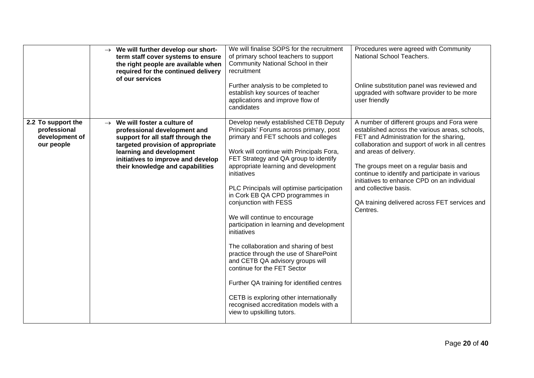|                                                                    | $\rightarrow$ We will further develop our short-<br>term staff cover systems to ensure<br>the right people are available when<br>required for the continued delivery<br>of our services                                                                   | We will finalise SOPS for the recruitment<br>of primary school teachers to support<br>Community National School in their<br>recruitment<br>Further analysis to be completed to<br>establish key sources of teacher<br>applications and improve flow of<br>candidates                                                                                                                                                                                                                                                                                                                                                                                                                                                                                                                               | Procedures were agreed with Community<br>National School Teachers.<br>Online substitution panel was reviewed and<br>upgraded with software provider to be more<br>user friendly                                                                                                                                                                                                                                                                         |
|--------------------------------------------------------------------|-----------------------------------------------------------------------------------------------------------------------------------------------------------------------------------------------------------------------------------------------------------|----------------------------------------------------------------------------------------------------------------------------------------------------------------------------------------------------------------------------------------------------------------------------------------------------------------------------------------------------------------------------------------------------------------------------------------------------------------------------------------------------------------------------------------------------------------------------------------------------------------------------------------------------------------------------------------------------------------------------------------------------------------------------------------------------|---------------------------------------------------------------------------------------------------------------------------------------------------------------------------------------------------------------------------------------------------------------------------------------------------------------------------------------------------------------------------------------------------------------------------------------------------------|
| 2.2 To support the<br>professional<br>development of<br>our people | $\rightarrow$ We will foster a culture of<br>professional development and<br>support for all staff through the<br>targeted provision of appropriate<br>learning and development<br>initiatives to improve and develop<br>their knowledge and capabilities | Develop newly established CETB Deputy<br>Principals' Forums across primary, post<br>primary and FET schools and colleges<br>Work will continue with Principals Fora,<br>FET Strategy and QA group to identify<br>appropriate learning and development<br>initiatives<br>PLC Principals will optimise participation<br>in Cork EB QA CPD programmes in<br>conjunction with FESS<br>We will continue to encourage<br>participation in learning and development<br>initiatives<br>The collaboration and sharing of best<br>practice through the use of SharePoint<br>and CETB QA advisory groups will<br>continue for the FET Sector<br>Further QA training for identified centres<br>CETB is exploring other internationally<br>recognised accreditation models with a<br>view to upskilling tutors. | A number of different groups and Fora were<br>established across the various areas, schools,<br>FET and Administration for the sharing,<br>collaboration and support of work in all centres<br>and areas of delivery.<br>The groups meet on a regular basis and<br>continue to identify and participate in various<br>initiatives to enhance CPD on an individual<br>and collective basis.<br>QA training delivered across FET services and<br>Centres. |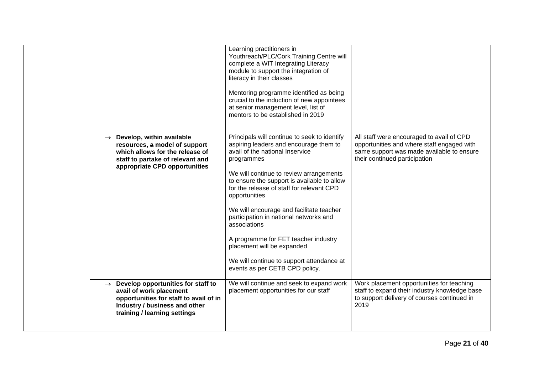|                                                                                                                                                                                        | Learning practitioners in<br>Youthreach/PLC/Cork Training Centre will<br>complete a WIT Integrating Literacy<br>module to support the integration of<br>literacy in their classes<br>Mentoring programme identified as being<br>crucial to the induction of new appointees<br>at senior management level, list of<br>mentors to be established in 2019                                                                                                                                                                                                     |                                                                                                                                                                       |
|----------------------------------------------------------------------------------------------------------------------------------------------------------------------------------------|------------------------------------------------------------------------------------------------------------------------------------------------------------------------------------------------------------------------------------------------------------------------------------------------------------------------------------------------------------------------------------------------------------------------------------------------------------------------------------------------------------------------------------------------------------|-----------------------------------------------------------------------------------------------------------------------------------------------------------------------|
| $\rightarrow$ Develop, within available<br>resources, a model of support<br>which allows for the release of<br>staff to partake of relevant and<br>appropriate CPD opportunities       | Principals will continue to seek to identify<br>aspiring leaders and encourage them to<br>avail of the national Inservice<br>programmes<br>We will continue to review arrangements<br>to ensure the support is available to allow<br>for the release of staff for relevant CPD<br>opportunities<br>We will encourage and facilitate teacher<br>participation in national networks and<br>associations<br>A programme for FET teacher industry<br>placement will be expanded<br>We will continue to support attendance at<br>events as per CETB CPD policy. | All staff were encouraged to avail of CPD<br>opportunities and where staff engaged with<br>same support was made available to ensure<br>their continued participation |
| $\rightarrow$ Develop opportunities for staff to<br>avail of work placement<br>opportunities for staff to avail of in<br>Industry / business and other<br>training / learning settings | We will continue and seek to expand work<br>placement opportunities for our staff                                                                                                                                                                                                                                                                                                                                                                                                                                                                          | Work placement opportunities for teaching<br>staff to expand their industry knowledge base<br>to support delivery of courses continued in<br>2019                     |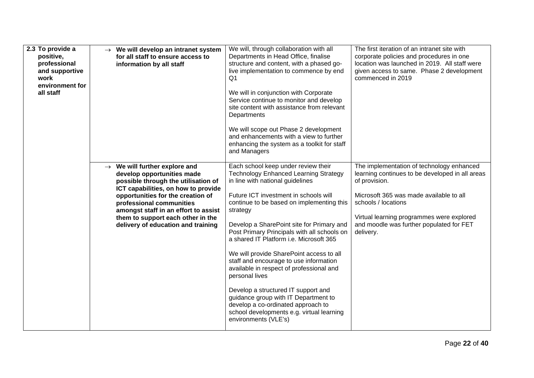| 2.3 To provide a<br>positive,<br>professional<br>and supportive<br>work<br>environment for<br>all staff | $\rightarrow$ We will develop an intranet system<br>for all staff to ensure access to<br>information by all staff                                                                                                                                                                                                                         | We will, through collaboration with all<br>Departments in Head Office, finalise<br>structure and content, with a phased go-<br>live implementation to commence by end<br>Q1<br>We will in conjunction with Corporate<br>Service continue to monitor and develop<br>site content with assistance from relevant<br>Departments<br>We will scope out Phase 2 development<br>and enhancements with a view to further<br>enhancing the system as a toolkit for staff<br>and Managers                                                                                                                                                                                                                                | The first iteration of an intranet site with<br>corporate policies and procedures in one<br>location was launched in 2019. All staff were<br>given access to same. Phase 2 development<br>commenced in 2019                                                                           |
|---------------------------------------------------------------------------------------------------------|-------------------------------------------------------------------------------------------------------------------------------------------------------------------------------------------------------------------------------------------------------------------------------------------------------------------------------------------|----------------------------------------------------------------------------------------------------------------------------------------------------------------------------------------------------------------------------------------------------------------------------------------------------------------------------------------------------------------------------------------------------------------------------------------------------------------------------------------------------------------------------------------------------------------------------------------------------------------------------------------------------------------------------------------------------------------|---------------------------------------------------------------------------------------------------------------------------------------------------------------------------------------------------------------------------------------------------------------------------------------|
|                                                                                                         | $\rightarrow$ We will further explore and<br>develop opportunities made<br>possible through the utilisation of<br>ICT capabilities, on how to provide<br>opportunities for the creation of<br>professional communities<br>amongst staff in an effort to assist<br>them to support each other in the<br>delivery of education and training | Each school keep under review their<br><b>Technology Enhanced Learning Strategy</b><br>in line with national guidelines<br>Future ICT investment in schools will<br>continue to be based on implementing this<br>strategy<br>Develop a SharePoint site for Primary and<br>Post Primary Principals with all schools on<br>a shared IT Platform i.e. Microsoft 365<br>We will provide SharePoint access to all<br>staff and encourage to use information<br>available in respect of professional and<br>personal lives<br>Develop a structured IT support and<br>guidance group with IT Department to<br>develop a co-ordinated approach to<br>school developments e.g. virtual learning<br>environments (VLE's) | The implementation of technology enhanced<br>learning continues to be developed in all areas<br>of provision.<br>Microsoft 365 was made available to all<br>schools / locations<br>Virtual learning programmes were explored<br>and moodle was further populated for FET<br>delivery. |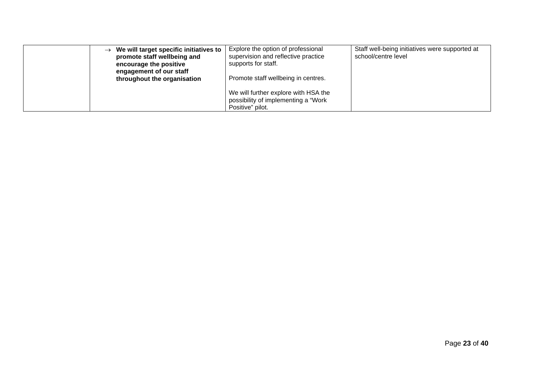| $\rightarrow$ We will target specific initiatives to<br>promote staff wellbeing and<br>encourage the positive<br>engagement of our staff<br>throughout the organisation | Explore the option of professional<br>supervision and reflective practice<br>supports for staff.<br>Promote staff wellbeing in centres. | Staff well-being initiatives were supported at<br>school/centre level |
|-------------------------------------------------------------------------------------------------------------------------------------------------------------------------|-----------------------------------------------------------------------------------------------------------------------------------------|-----------------------------------------------------------------------|
|                                                                                                                                                                         | We will further explore with HSA the<br>possibility of implementing a "Work<br>Positive" pilot.                                         |                                                                       |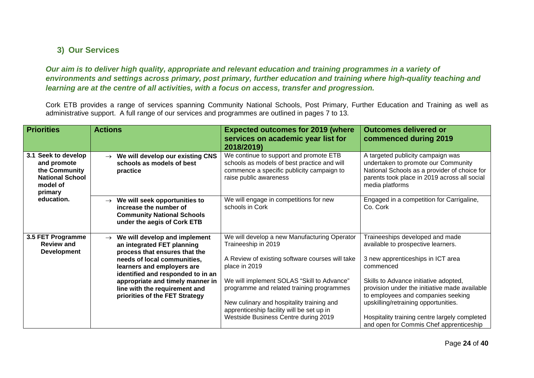# **3) Our Services**

*Our aim is to deliver high quality, appropriate and relevant education and training programmes in a variety of environments and settings across primary, post primary, further education and training where high-quality teaching and learning are at the centre of all activities, with a focus on access, transfer and progression.*

Cork ETB provides a range of services spanning Community National Schools, Post Primary, Further Education and Training as well as administrative support. A full range of our services and programmes are outlined in pages 7 to 13.

<span id="page-23-1"></span><span id="page-23-0"></span>

| <b>Priorities</b>                                                                                                  | <b>Actions</b>                                                                                                                            | <b>Expected outcomes for 2019 (where</b><br>services on academic year list for<br>2018/2019)                                                                 | <b>Outcomes delivered or</b><br>commenced during 2019                                                                                                                                       |
|--------------------------------------------------------------------------------------------------------------------|-------------------------------------------------------------------------------------------------------------------------------------------|--------------------------------------------------------------------------------------------------------------------------------------------------------------|---------------------------------------------------------------------------------------------------------------------------------------------------------------------------------------------|
| 3.1 Seek to develop<br>and promote<br>the Community<br><b>National School</b><br>model of<br>primary<br>education. | $\rightarrow$ We will develop our existing CNS<br>schools as models of best<br>practice                                                   | We continue to support and promote ETB<br>schools as models of best practice and will<br>commence a specific publicity campaign to<br>raise public awareness | A targeted publicity campaign was<br>undertaken to promote our Community<br>National Schools as a provider of choice for<br>parents took place in 2019 across all social<br>media platforms |
|                                                                                                                    | $\rightarrow$ We will seek opportunities to<br>increase the number of<br><b>Community National Schools</b><br>under the aegis of Cork ETB | We will engage in competitions for new<br>schools in Cork                                                                                                    | Engaged in a competition for Carrigaline,<br>Co. Cork                                                                                                                                       |
| 3.5 FET Programme<br><b>Review and</b><br><b>Development</b>                                                       | We will develop and implement<br>$\rightarrow$<br>an integrated FET planning<br>process that ensures that the                             | We will develop a new Manufacturing Operator<br>Traineeship in 2019                                                                                          | Traineeships developed and made<br>available to prospective learners.                                                                                                                       |
|                                                                                                                    | needs of local communities,<br>learners and employers are<br>identified and responded to in an                                            | A Review of existing software courses will take<br>place in 2019                                                                                             | 3 new apprenticeships in ICT area<br>commenced                                                                                                                                              |
|                                                                                                                    | appropriate and timely manner in<br>line with the requirement and<br>priorities of the FET Strategy                                       | We will implement SOLAS "Skill to Advance"<br>programme and related training programmes                                                                      | Skills to Advance initiative adopted,<br>provision under the initiative made available<br>to employees and companies seeking                                                                |
|                                                                                                                    |                                                                                                                                           | New culinary and hospitality training and<br>apprenticeship facility will be set up in<br>Westside Business Centre during 2019                               | upskilling/retraining opportunities.<br>Hospitality training centre largely completed<br>and open for Commis Chef apprenticeship                                                            |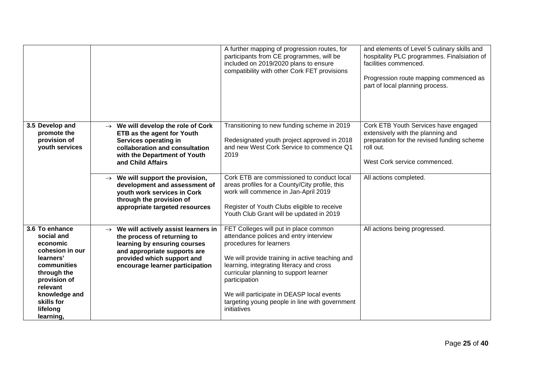|                                                                                                                                                                                            |                                                                                                                                                                                                                   | A further mapping of progression routes, for<br>participants from CE programmes, will be<br>included on 2019/2020 plans to ensure<br>compatibility with other Cork FET provisions                                                                                                                                                                                                  | and elements of Level 5 culinary skills and<br>hospitality PLC programmes. Finalsiation of<br>facilities commenced.<br>Progression route mapping commenced as<br>part of local planning process. |
|--------------------------------------------------------------------------------------------------------------------------------------------------------------------------------------------|-------------------------------------------------------------------------------------------------------------------------------------------------------------------------------------------------------------------|------------------------------------------------------------------------------------------------------------------------------------------------------------------------------------------------------------------------------------------------------------------------------------------------------------------------------------------------------------------------------------|--------------------------------------------------------------------------------------------------------------------------------------------------------------------------------------------------|
| 3.5 Develop and<br>promote the<br>provision of<br>youth services                                                                                                                           | $\rightarrow$ We will develop the role of Cork<br>ETB as the agent for Youth<br>Services operating in<br>collaboration and consultation<br>with the Department of Youth<br>and Child Affairs                      | Transitioning to new funding scheme in 2019<br>Redesignated youth project approved in 2018<br>and new West Cork Service to commence Q1<br>2019                                                                                                                                                                                                                                     | Cork ETB Youth Services have engaged<br>extensively with the planning and<br>preparation for the revised funding scheme<br>roll out.<br>West Cork service commenced.                             |
|                                                                                                                                                                                            | $\rightarrow$ We will support the provision,<br>development and assessment of<br>youth work services in Cork<br>through the provision of<br>appropriate targeted resources                                        | Cork ETB are commissioned to conduct local<br>areas profiles for a County/City profile, this<br>work will commence in Jan-April 2019<br>Register of Youth Clubs eligible to receive<br>Youth Club Grant will be updated in 2019                                                                                                                                                    | All actions completed.                                                                                                                                                                           |
| 3.6 To enhance<br>social and<br>economic<br>cohesion in our<br>learners'<br>communities<br>through the<br>provision of<br>relevant<br>knowledge and<br>skills for<br>lifelong<br>learning, | $\rightarrow$ We will actively assist learners in<br>the process of returning to<br>learning by ensuring courses<br>and appropriate supports are<br>provided which support and<br>encourage learner participation | FET Colleges will put in place common<br>attendance polices and entry interview<br>procedures for learners<br>We will provide training in active teaching and<br>learning, integrating literacy and cross<br>curricular planning to support learner<br>participation<br>We will participate in DEASP local events<br>targeting young people in line with government<br>initiatives | All actions being progressed.                                                                                                                                                                    |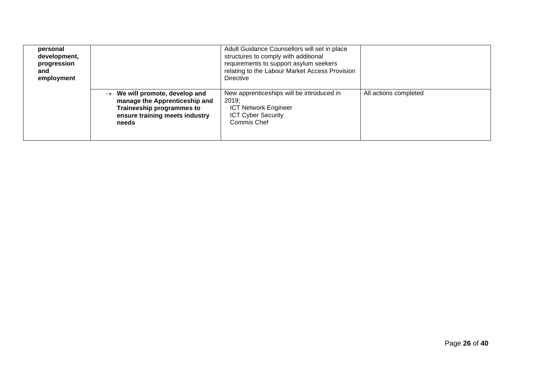| personal<br>development,<br>progression<br>and<br>employment |                                                                                                                                                     | Adult Guidance Counsellors will set in place<br>structures to comply with additional<br>requirements to support asylum seekers<br>relating to the Labour Market Access Provision<br><b>Directive</b> |                       |
|--------------------------------------------------------------|-----------------------------------------------------------------------------------------------------------------------------------------------------|------------------------------------------------------------------------------------------------------------------------------------------------------------------------------------------------------|-----------------------|
|                                                              | $\rightarrow$ We will promote, develop and<br>manage the Apprenticeship and<br>Traineeship programmes to<br>ensure training meets industry<br>needs | New apprenticeships will be introduced in<br>2019;<br><b>ICT Network Engineer</b><br><b>ICT Cyber Security</b><br>Commis Chef                                                                        | All actions completed |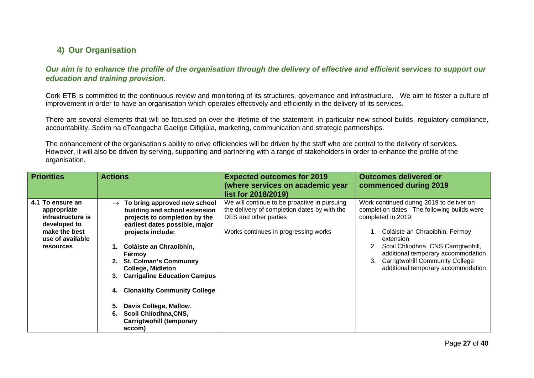# **4) Our Organisation**

*Our aim is to enhance the profile of the organisation through the delivery of effective and efficient services to support our education and training provision.*

Cork ETB is committed to the continuous review and monitoring of its structures, governance and infrastructure. We aim to foster a culture of improvement in order to have an organisation which operates effectively and efficiently in the delivery of its services.

There are several elements that will be focused on over the lifetime of the statement, in particular new school builds, regulatory compliance, accountability, Scéim na dTeangacha Gaeilge Oifigiúla, marketing, communication and strategic partnerships.

The enhancement of the organisation's ability to drive efficiencies will be driven by the staff who are central to the delivery of services. However, it will also be driven by serving, supporting and partnering with a range of stakeholders in order to enhance the profile of the organisation.

<span id="page-26-1"></span><span id="page-26-0"></span>

| <b>Priorities</b>                                                                                                             | <b>Actions</b>                                                                                                                                                                                                                                                                                                                                                                                                                                                     | <b>Expected outcomes for 2019</b><br>(where services on academic year<br>list for 2018/2019)                                                                  | <b>Outcomes delivered or</b><br>commenced during 2019                                                                                                                                                                                                                                                                    |
|-------------------------------------------------------------------------------------------------------------------------------|--------------------------------------------------------------------------------------------------------------------------------------------------------------------------------------------------------------------------------------------------------------------------------------------------------------------------------------------------------------------------------------------------------------------------------------------------------------------|---------------------------------------------------------------------------------------------------------------------------------------------------------------|--------------------------------------------------------------------------------------------------------------------------------------------------------------------------------------------------------------------------------------------------------------------------------------------------------------------------|
| 4.1 To ensure an<br>appropriate<br>infrastructure is<br>developed to<br>make the best<br>use of available<br><b>resources</b> | To bring approved new school<br>$\rightarrow$<br>building and school extension<br>projects to completion by the<br>earliest dates possible, major<br>projects include:<br>Coláiste an Chraoibhín,<br>Fermoy<br><b>St. Colman's Community</b><br><b>College, Midleton</b><br><b>Carrigaline Education Campus</b><br>3.<br><b>Clonakilty Community College</b><br>Davis College, Mallow.<br>Scoil Chlíodhna, CNS,<br>6.<br><b>Carrigtwohill (temporary</b><br>accom) | We will continue to be proactive in pursuing<br>the delivery of completion dates by with the<br>DES and other parties<br>Works continues in progressing works | Work continued during 2019 to deliver on<br>completion dates. The following builds were<br>completed in 2019:<br>1. Coláiste an Chraoibhin, Fermoy<br>extension<br>Scoil Chliodhna, CNS Carrigtwohill,<br>additional temporary accommodation<br>3. Carrigtwohill Community College<br>additional temporary accommodation |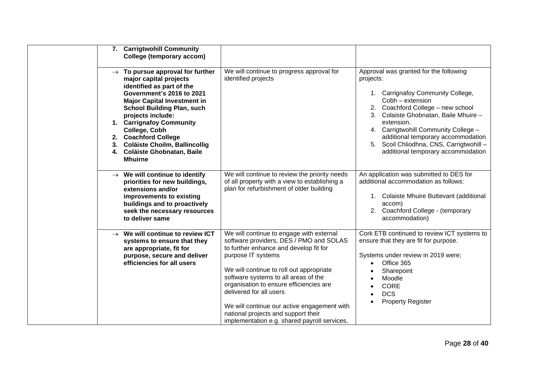| 7. Carrigtwohill Community<br>College (temporary accom)                                                                                                                                                                                                                                                                                                                                     |                                                                                                                                                                                                                                                                                                                                                                                                                                                     |                                                                                                                                                                                                                                                                                                                                                                          |
|---------------------------------------------------------------------------------------------------------------------------------------------------------------------------------------------------------------------------------------------------------------------------------------------------------------------------------------------------------------------------------------------|-----------------------------------------------------------------------------------------------------------------------------------------------------------------------------------------------------------------------------------------------------------------------------------------------------------------------------------------------------------------------------------------------------------------------------------------------------|--------------------------------------------------------------------------------------------------------------------------------------------------------------------------------------------------------------------------------------------------------------------------------------------------------------------------------------------------------------------------|
| $\rightarrow$ To pursue approval for further<br>major capital projects<br>identified as part of the<br>Government's 2016 to 2021<br><b>Major Capital Investment in</b><br><b>School Building Plan, such</b><br>projects include:<br>1. Carrignafoy Community<br>College, Cobh<br>2. Coachford College<br>3. Coláiste Choilm, Ballincollig<br>4. Coláiste Ghobnatan, Baile<br><b>Mhuirne</b> | We will continue to progress approval for<br>identified projects                                                                                                                                                                                                                                                                                                                                                                                    | Approval was granted for the following<br>projects:<br>1. Carrignafoy Community College,<br>Cobh - extension<br>2. Coachford College - new school<br>3. Colaiste Ghobnatan, Baile Mhuire -<br>extension.<br>4. Carrigtwohill Community College -<br>additional temporary accommodation<br>5. Scoil Chliodhna, CNS, Carrigtwohill -<br>additional temporary accommodation |
| $\rightarrow$ We will continue to identify<br>priorities for new buildings,<br>extensions and/or<br>improvements to existing<br>buildings and to proactively<br>seek the necessary resources<br>to deliver same                                                                                                                                                                             | We will continue to review the priority needs<br>of all property with a view to establishing a<br>plan for refurbishment of older building                                                                                                                                                                                                                                                                                                          | An application was submitted to DES for<br>additional accommodation as follows:<br>1. Colaiste Mhuire Buttevant (additional<br>accom)<br>2. Coachford College - (temporary<br>accommodation)                                                                                                                                                                             |
| $\rightarrow$ We will continue to review ICT<br>systems to ensure that they<br>are appropriate, fit for<br>purpose, secure and deliver<br>efficiencies for all users                                                                                                                                                                                                                        | We will continue to engage with external<br>software providers, DES / PMO and SOLAS<br>to further enhance and develop fit for<br>purpose IT systems<br>We will continue to roll out appropriate<br>software systems to all areas of the<br>organisation to ensure efficiencies are<br>delivered for all users<br>We will continue our active engagement with<br>national projects and support their<br>implementation e.g. shared payroll services, | Cork ETB continued to review ICT systems to<br>ensure that they are fit for purpose.<br>Systems under review in 2019 were;<br>Office 365<br>$\bullet$<br>Sharepoint<br>Moodle<br>$\bullet$<br><b>CORE</b><br>$\bullet$<br><b>DCS</b><br>$\bullet$<br><b>Property Register</b>                                                                                            |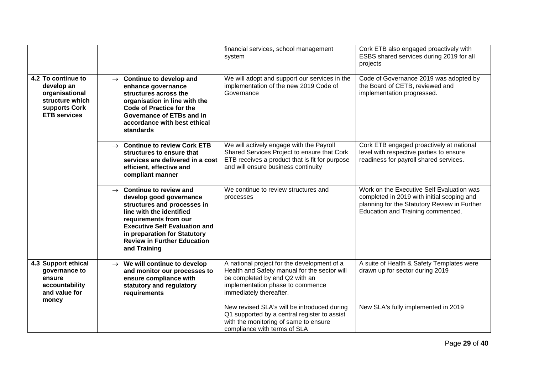|                                                                                                               |                                                                                                                                                                                                                                                                                   | financial services, school management<br>system                                                                                                                                              | Cork ETB also engaged proactively with<br>ESBS shared services during 2019 for all<br>projects                                                                               |
|---------------------------------------------------------------------------------------------------------------|-----------------------------------------------------------------------------------------------------------------------------------------------------------------------------------------------------------------------------------------------------------------------------------|----------------------------------------------------------------------------------------------------------------------------------------------------------------------------------------------|------------------------------------------------------------------------------------------------------------------------------------------------------------------------------|
| 4.2 To continue to<br>develop an<br>organisational<br>structure which<br>supports Cork<br><b>ETB services</b> | $\rightarrow$ Continue to develop and<br>enhance governance<br>structures across the<br>organisation in line with the<br><b>Code of Practice for the</b><br>Governance of ETBs and in<br>accordance with best ethical<br>standards                                                | We will adopt and support our services in the<br>implementation of the new 2019 Code of<br>Governance                                                                                        | Code of Governance 2019 was adopted by<br>the Board of CETB, reviewed and<br>implementation progressed.                                                                      |
|                                                                                                               | $\rightarrow$ Continue to review Cork ETB<br>structures to ensure that<br>services are delivered in a cost<br>efficient, effective and<br>compliant manner                                                                                                                        | We will actively engage with the Payroll<br>Shared Services Project to ensure that Cork<br>ETB receives a product that is fit for purpose<br>and will ensure business continuity             | Cork ETB engaged proactively at national<br>level with respective parties to ensure<br>readiness for payroll shared services.                                                |
|                                                                                                               | $\rightarrow$ Continue to review and<br>develop good governance<br>structures and processes in<br>line with the identified<br>requirements from our<br><b>Executive Self Evaluation and</b><br>in preparation for Statutory<br><b>Review in Further Education</b><br>and Training | We continue to review structures and<br>processes                                                                                                                                            | Work on the Executive Self Evaluation was<br>completed in 2019 with initial scoping and<br>planning for the Statutory Review in Further<br>Education and Training commenced. |
| 4.3 Support ethical<br>governance to<br>ensure<br>accountability<br>and value for<br>money                    | $\rightarrow$ We will continue to develop<br>and monitor our processes to<br>ensure compliance with<br>statutory and regulatory<br>requirements                                                                                                                                   | A national project for the development of a<br>Health and Safety manual for the sector will<br>be completed by end Q2 with an<br>implementation phase to commence<br>immediately thereafter. | A suite of Health & Safety Templates were<br>drawn up for sector during 2019                                                                                                 |
|                                                                                                               |                                                                                                                                                                                                                                                                                   | New revised SLA's will be introduced during<br>Q1 supported by a central register to assist<br>with the monitoring of same to ensure<br>compliance with terms of SLA                         | New SLA's fully implemented in 2019                                                                                                                                          |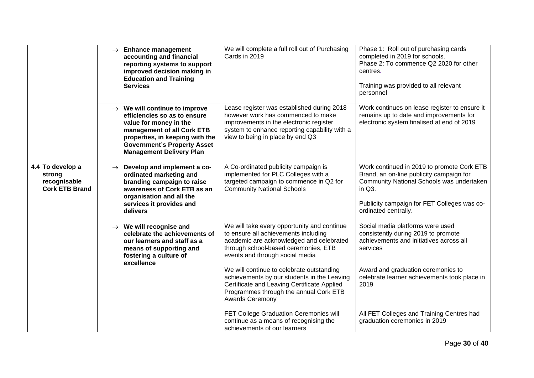|                                                                     |               | $\rightarrow$ Enhance management<br>accounting and financial<br>reporting systems to support<br>improved decision making in<br><b>Education and Training</b><br><b>Services</b>                                                               | We will complete a full roll out of Purchasing<br>Cards in 2019                                                                                                                                                                                                                                                                                                                                                                                                                                                                               | Phase 1: Roll out of purchasing cards<br>completed in 2019 for schools.<br>Phase 2: To commence Q2 2020 for other<br>centres.<br>Training was provided to all relevant<br>personnel                                                                                                                        |
|---------------------------------------------------------------------|---------------|-----------------------------------------------------------------------------------------------------------------------------------------------------------------------------------------------------------------------------------------------|-----------------------------------------------------------------------------------------------------------------------------------------------------------------------------------------------------------------------------------------------------------------------------------------------------------------------------------------------------------------------------------------------------------------------------------------------------------------------------------------------------------------------------------------------|------------------------------------------------------------------------------------------------------------------------------------------------------------------------------------------------------------------------------------------------------------------------------------------------------------|
|                                                                     |               | $\rightarrow$ We will continue to improve<br>efficiencies so as to ensure<br>value for money in the<br>management of all Cork ETB<br>properties, in keeping with the<br><b>Government's Property Asset</b><br><b>Management Delivery Plan</b> | Lease register was established during 2018<br>however work has commenced to make<br>improvements in the electronic register<br>system to enhance reporting capability with a<br>view to being in place by end Q3                                                                                                                                                                                                                                                                                                                              | Work continues on lease register to ensure it<br>remains up to date and improvements for<br>electronic system finalised at end of 2019                                                                                                                                                                     |
| 4.4 To develop a<br>strong<br>recognisable<br><b>Cork ETB Brand</b> | $\rightarrow$ | Develop and implement a co-<br>ordinated marketing and<br>branding campaign to raise<br>awareness of Cork ETB as an<br>organisation and all the<br>services it provides and<br>delivers                                                       | A Co-ordinated publicity campaign is<br>implemented for PLC Colleges with a<br>targeted campaign to commence in Q2 for<br><b>Community National Schools</b>                                                                                                                                                                                                                                                                                                                                                                                   | Work continued in 2019 to promote Cork ETB<br>Brand, an on-line publicity campaign for<br>Community National Schools was undertaken<br>in $Q3$ .<br>Publicity campaign for FET Colleges was co-<br>ordinated centrally.                                                                                    |
|                                                                     |               | $\rightarrow$ We will recognise and<br>celebrate the achievements of<br>our learners and staff as a<br>means of supporting and<br>fostering a culture of<br>excellence                                                                        | We will take every opportunity and continue<br>to ensure all achievements including<br>academic are acknowledged and celebrated<br>through school-based ceremonies, ETB<br>events and through social media<br>We will continue to celebrate outstanding<br>achievements by our students in the Leaving<br>Certificate and Leaving Certificate Applied<br>Programmes through the annual Cork ETB<br><b>Awards Ceremony</b><br>FET College Graduation Ceremonies will<br>continue as a means of recognising the<br>achievements of our learners | Social media platforms were used<br>consistently during 2019 to promote<br>achievements and initiatives across all<br>services<br>Award and graduation ceremonies to<br>celebrate learner achievements took place in<br>2019<br>All FET Colleges and Training Centres had<br>graduation ceremonies in 2019 |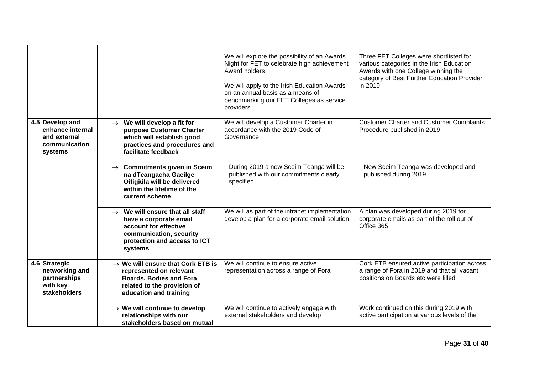|                                                                                 |                                                                                                                                                                      | We will explore the possibility of an Awards<br>Night for FET to celebrate high achievement<br>Award holders<br>We will apply to the Irish Education Awards<br>on an annual basis as a means of<br>benchmarking our FET Colleges as service<br>providers | Three FET Colleges were shortlisted for<br>various categories in the Irish Education<br>Awards with one College winning the<br>category of Best Further Education Provider<br>in 2019 |
|---------------------------------------------------------------------------------|----------------------------------------------------------------------------------------------------------------------------------------------------------------------|----------------------------------------------------------------------------------------------------------------------------------------------------------------------------------------------------------------------------------------------------------|---------------------------------------------------------------------------------------------------------------------------------------------------------------------------------------|
| 4.5 Develop and<br>enhance internal<br>and external<br>communication<br>systems | We will develop a fit for<br>$\rightarrow$<br>purpose Customer Charter<br>which will establish good<br>practices and procedures and<br>facilitate feedback           | We will develop a Customer Charter in<br>accordance with the 2019 Code of<br>Governance                                                                                                                                                                  | <b>Customer Charter and Customer Complaints</b><br>Procedure published in 2019                                                                                                        |
|                                                                                 | $\rightarrow$ Commitments given in Scéim<br>na dTeangacha Gaeilge<br>Oifigiúla will be delivered<br>within the lifetime of the<br>current scheme                     | During 2019 a new Sceim Teanga will be<br>published with our commitments clearly<br>specified                                                                                                                                                            | New Sceim Teanga was developed and<br>published during 2019                                                                                                                           |
|                                                                                 | $\rightarrow$ We will ensure that all staff<br>have a corporate email<br>account for effective<br>communication, security<br>protection and access to ICT<br>systems | We will as part of the intranet implementation<br>develop a plan for a corporate email solution                                                                                                                                                          | A plan was developed during 2019 for<br>corporate emails as part of the roll out of<br>Office 365                                                                                     |
| 4.6 Strategic<br>networking and<br>partnerships<br>with key<br>stakeholders     | $\rightarrow$ We will ensure that Cork ETB is<br>represented on relevant<br><b>Boards, Bodies and Fora</b><br>related to the provision of<br>education and training  | We will continue to ensure active<br>representation across a range of Fora                                                                                                                                                                               | Cork ETB ensured active participation across<br>a range of Fora in 2019 and that all vacant<br>positions on Boards etc were filled                                                    |
|                                                                                 | $\rightarrow$ We will continue to develop<br>relationships with our<br>stakeholders based on mutual                                                                  | We will continue to actively engage with<br>external stakeholders and develop                                                                                                                                                                            | Work continued on this during 2019 with<br>active participation at various levels of the                                                                                              |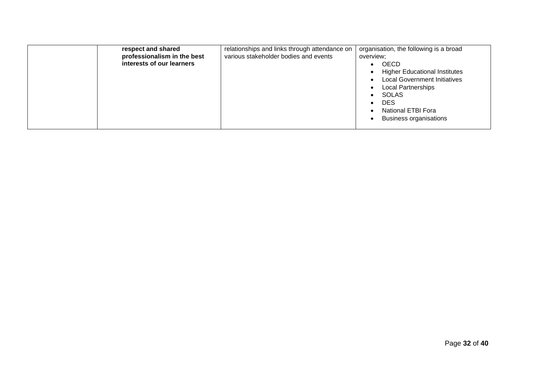| respect and shared<br>professionalism in the best<br>interests of our learners | relationships and links through attendance on<br>various stakeholder bodies and events | organisation, the following is a broad<br>overview;<br>OECD<br><b>Higher Educational Institutes</b><br>$\bullet$<br><b>Local Government Initiatives</b><br>$\bullet$<br><b>Local Partnerships</b><br>$\bullet$<br>SOLAS<br>$\bullet$<br><b>DES</b><br>$\bullet$<br>National ETBI Fora<br>$\bullet$ |
|--------------------------------------------------------------------------------|----------------------------------------------------------------------------------------|----------------------------------------------------------------------------------------------------------------------------------------------------------------------------------------------------------------------------------------------------------------------------------------------------|
|                                                                                |                                                                                        | <b>Business organisations</b><br>$\bullet$                                                                                                                                                                                                                                                         |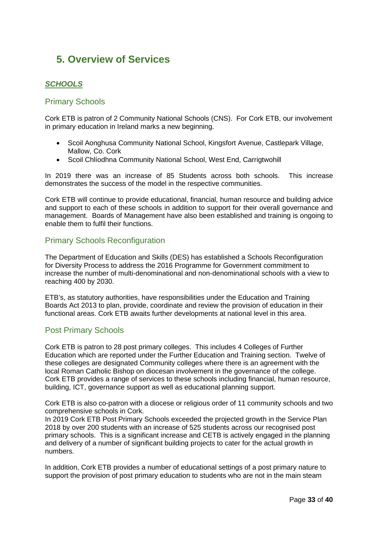# <span id="page-32-0"></span>**5. Overview of Services**

## <span id="page-32-1"></span>*SCHOOLS*

## <span id="page-32-2"></span>Primary Schools

Cork ETB is patron of 2 Community National Schools (CNS). For Cork ETB, our involvement in primary education in Ireland marks a new beginning.

- Scoil Aonghusa Community National School, Kingsfort Avenue, Castlepark Village, Mallow, Co. Cork
- Scoil Chlíodhna Community National School, West End, Carrigtwohill

In 2019 there was an increase of 85 Students across both schools. This increase demonstrates the success of the model in the respective communities.

Cork ETB will continue to provide educational, financial, human resource and building advice and support to each of these schools in addition to support for their overall governance and management. Boards of Management have also been established and training is ongoing to enable them to fulfil their functions.

#### <span id="page-32-3"></span>Primary Schools Reconfiguration

The Department of Education and Skills (DES) has established a Schools Reconfiguration for Diversity Process to address the 2016 Programme for Government commitment to increase the number of multi-denominational and non-denominational schools with a view to reaching 400 by 2030.

ETB's, as statutory authorities, have responsibilities under the Education and Training Boards Act 2013 to plan, provide, coordinate and review the provision of education in their functional areas. Cork ETB awaits further developments at national level in this area.

## <span id="page-32-4"></span>Post Primary Schools

Cork ETB is patron to 28 post primary colleges. This includes 4 Colleges of Further Education which are reported under the Further Education and Training section. Twelve of these colleges are designated Community colleges where there is an agreement with the local Roman Catholic Bishop on diocesan involvement in the governance of the college. Cork ETB provides a range of services to these schools including financial, human resource, building, ICT, governance support as well as educational planning support.

Cork ETB is also co-patron with a diocese or religious order of 11 community schools and two comprehensive schools in Cork.

In 2019 Cork ETB Post Primary Schools exceeded the projected growth in the Service Plan 2018 by over 200 students with an increase of 525 students across our recognised post primary schools. This is a significant increase and CETB is actively engaged in the planning and delivery of a number of significant building projects to cater for the actual growth in numbers.

In addition, Cork ETB provides a number of educational settings of a post primary nature to support the provision of post primary education to students who are not in the main steam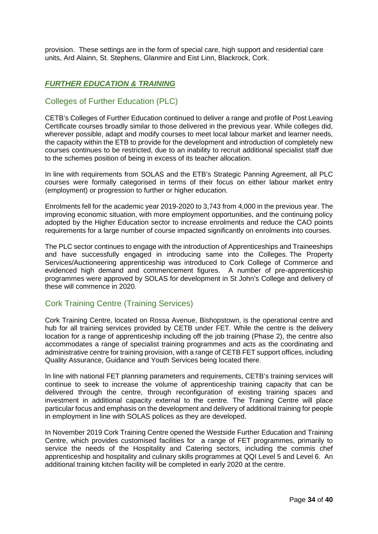provision. These settings are in the form of special care, high support and residential care units, Ard Alainn, St. Stephens, Glanmire and Eist Linn, Blackrock, Cork.

## <span id="page-33-0"></span>*FURTHER EDUCATION & TRAINING*

### <span id="page-33-1"></span>Colleges of Further Education (PLC)

CETB's Colleges of Further Education continued to deliver a range and profile of Post Leaving Certificate courses broadly similar to those delivered in the previous year. While colleges did, wherever possible, adapt and modify courses to meet local labour market and learner needs, the capacity within the ETB to provide for the development and introduction of completely new courses continues to be restricted, due to an inability to recruit additional specialist staff due to the schemes position of being in excess of its teacher allocation.

In line with requirements from SOLAS and the ETB's Strategic Panning Agreement, all PLC courses were formally categorised in terms of their focus on either labour market entry (employment) or progression to further or higher education.

Enrolments fell for the academic year 2019-2020 to 3,743 from 4,000 in the previous year. The improving economic situation, with more employment opportunities, and the continuing policy adopted by the Higher Education sector to increase enrolments and reduce the CAO points requirements for a large number of course impacted significantly on enrolments into courses.

The PLC sector continues to engage with the introduction of Apprenticeships and Traineeships and have successfully engaged in introducing same into the Colleges. The Property Services/Auctioneering apprenticeship was introduced to Cork College of Commerce and evidenced high demand and commencement figures. A number of pre-apprenticeship programmes were approved by SOLAS for development in St John's College and delivery of these will commence in 2020.

## <span id="page-33-2"></span>Cork Training Centre (Training Services)

Cork Training Centre, located on Rossa Avenue, Bishopstown, is the operational centre and hub for all training services provided by CETB under FET. While the centre is the delivery location for a range of apprenticeship including off the job training (Phase 2), the centre also accommodates a range of specialist training programmes and acts as the coordinating and administrative centre for training provision, with a range of CETB FET support offices, including Quality Assurance, Guidance and Youth Services being located there.

In line with national FET planning parameters and requirements, CETB's training services will continue to seek to increase the volume of apprenticeship training capacity that can be delivered through the centre, through reconfiguration of existing training spaces and investment in additional capacity external to the centre. The Training Centre will place particular focus and emphasis on the development and delivery of additional training for people in employment in line with SOLAS polices as they are developed.

In November 2019 Cork Training Centre opened the Westside Further Education and Training Centre, which provides customised facilities for a range of FET programmes, primarily to service the needs of the Hospitality and Catering sectors, including the commis chef apprenticeship and hospitality and culinary skills programmes at QQI Level 5 and Level 6. An additional training kitchen facility will be completed in early 2020 at the centre.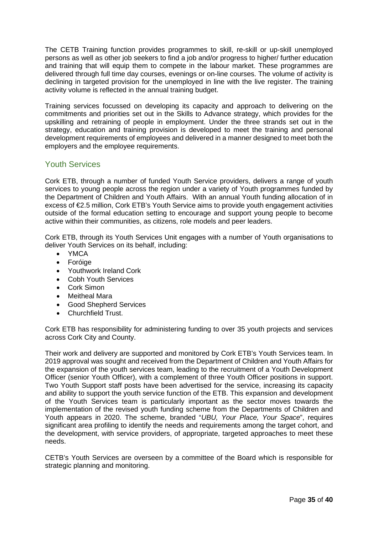The CETB Training function provides programmes to skill, re-skill or up-skill unemployed persons as well as other job seekers to find a job and/or progress to higher/ further education and training that will equip them to compete in the labour market. These programmes are delivered through full time day courses, evenings or on-line courses. The volume of activity is declining in targeted provision for the unemployed in line with the live register. The training activity volume is reflected in the annual training budget.

Training services focussed on developing its capacity and approach to delivering on the commitments and priorities set out in the Skills to Advance strategy, which provides for the upskilling and retraining of people in employment. Under the three strands set out in the strategy, education and training provision is developed to meet the training and personal development requirements of employees and delivered in a manner designed to meet both the employers and the employee requirements.

## <span id="page-34-0"></span>Youth Services

Cork ETB, through a number of funded Youth Service providers, delivers a range of youth services to young people across the region under a variety of Youth programmes funded by the Department of Children and Youth Affairs. With an annual Youth funding allocation of in excess of €2.5 million, Cork ETB's Youth Service aims to provide youth engagement activities outside of the formal education setting to encourage and support young people to become active within their communities, as citizens, role models and peer leaders.

Cork ETB, through its Youth Services Unit engages with a number of Youth organisations to deliver Youth Services on its behalf, including:

- YMCA
- Foróige
- Youthwork Ireland Cork
- Cobh Youth Services
- Cork Simon
- Meitheal Mara
- Good Shepherd Services
- Churchfield Trust.

Cork ETB has responsibility for administering funding to over 35 youth projects and services across Cork City and County.

Their work and delivery are supported and monitored by Cork ETB's Youth Services team. In 2019 approval was sought and received from the Department of Children and Youth Affairs for the expansion of the youth services team, leading to the recruitment of a Youth Development Officer (senior Youth Officer), with a complement of three Youth Officer positions in support. Two Youth Support staff posts have been advertised for the service, increasing its capacity and ability to support the youth service function of the ETB. This expansion and development of the Youth Services team is particularly important as the sector moves towards the implementation of the revised youth funding scheme from the Departments of Children and Youth appears in 2020. The scheme, branded "*UBU, Your Place, Your Space*", requires significant area profiling to identify the needs and requirements among the target cohort, and the development, with service providers, of appropriate, targeted approaches to meet these needs.

CETB's Youth Services are overseen by a committee of the Board which is responsible for strategic planning and monitoring.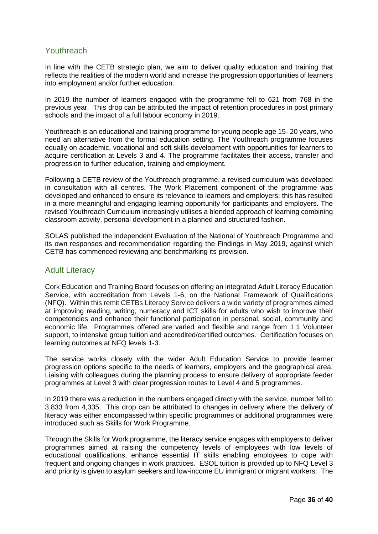## <span id="page-35-0"></span>**Youthreach**

In line with the CETB strategic plan, we aim to deliver quality education and training that reflects the realities of the modern world and increase the progression opportunities of learners into employment and/or further education.

In 2019 the number of learners engaged with the programme fell to 621 from 768 in the previous year. This drop can be attributed the impact of retention procedures in post primary schools and the impact of a full labour economy in 2019.

Youthreach is an educational and training programme for young people age 15- 20 years, who need an alternative from the formal education setting. The Youthreach programme focuses equally on academic, vocational and soft skills development with opportunities for learners to acquire certification at Levels 3 and 4. The programme facilitates their access, transfer and progression to further education, training and employment.

Following a CETB review of the Youthreach programme, a revised curriculum was developed in consultation with all centres. The Work Placement component of the programme was developed and enhanced to ensure its relevance to learners and employers; this has resulted in a more meaningful and engaging learning opportunity for participants and employers. The revised Youthreach Curriculum increasingly utilises a blended approach of learning combining classroom activity, personal development in a planned and structured fashion.

SOLAS published the independent Evaluation of the National of Youthreach Programme and its own responses and recommendation regarding the Findings in May 2019, against which CETB has commenced reviewing and benchmarking its provision.

#### <span id="page-35-1"></span>Adult Literacy

Cork Education and Training Board focuses on offering an integrated Adult Literacy Education Service, with accreditation from Levels 1-6, on the National Framework of Qualifications (NFQ). Within this remit CETBs Literacy Service delivers a wide variety of programmes aimed at improving reading, writing, numeracy and ICT skills for adults who wish to improve their competencies and enhance their functional participation in personal, social, community and economic life. Programmes offered are varied and flexible and range from 1:1 Volunteer support, to intensive group tuition and accredited/certified outcomes. Certification focuses on learning outcomes at NFQ levels 1-3.

The service works closely with the wider Adult Education Service to provide learner progression options specific to the needs of learners, employers and the geographical area. Liaising with colleagues during the planning process to ensure delivery of appropriate feeder programmes at Level 3 with clear progression routes to Level 4 and 5 programmes.

In 2019 there was a reduction in the numbers engaged directly with the service, number fell to 3,833 from 4,335. This drop can be attributed to changes in delivery where the delivery of literacy was either encompassed within specific programmes or additional programmes were introduced such as Skills for Work Programme.

Through the Skills for Work programme, the literacy service engages with employers to deliver programmes aimed at raising the competency levels of employees with low levels of educational qualifications, enhance essential IT skills enabling employees to cope with frequent and ongoing changes in work practices. ESOL tuition is provided up to NFQ Level 3 and priority is given to asylum seekers and low-income EU immigrant or migrant workers. The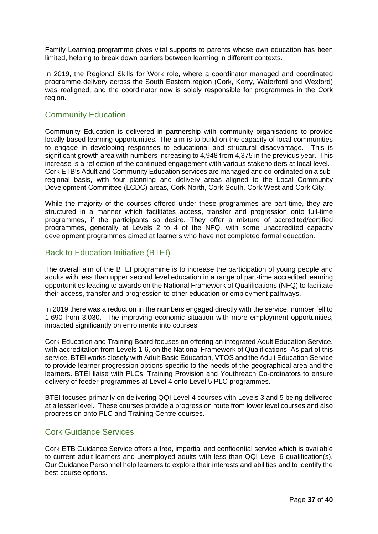Family Learning programme gives vital supports to parents whose own education has been limited, helping to break down barriers between learning in different contexts.

In 2019, the Regional Skills for Work role, where a coordinator managed and coordinated programme delivery across the South Eastern region (Cork, Kerry, Waterford and Wexford) was realigned, and the coordinator now is solely responsible for programmes in the Cork region.

#### <span id="page-36-0"></span>Community Education

Community Education is delivered in partnership with community organisations to provide locally based learning opportunities. The aim is to build on the capacity of local communities to engage in developing responses to educational and structural disadvantage. This is significant growth area with numbers increasing to 4,948 from 4,375 in the previous year. This increase is a reflection of the continued engagement with various stakeholders at local level. Cork ETB's Adult and Community Education services are managed and co-ordinated on a subregional basis, with four planning and delivery areas aligned to the Local Community Development Committee (LCDC) areas, Cork North, Cork South, Cork West and Cork City.

While the majority of the courses offered under these programmes are part-time, they are structured in a manner which facilitates access, transfer and progression onto full-time programmes, if the participants so desire. They offer a mixture of accredited/certified programmes, generally at Levels 2 to 4 of the NFQ, with some unaccredited capacity development programmes aimed at learners who have not completed formal education.

#### <span id="page-36-1"></span>Back to Education Initiative (BTEI)

The overall aim of the BTEI programme is to increase the participation of young people and adults with less than upper second level education in a range of part-time accredited learning opportunities leading to awards on the National Framework of Qualifications (NFQ) to facilitate their access, transfer and progression to other education or employment pathways.

In 2019 there was a reduction in the numbers engaged directly with the service, number fell to 1,690 from 3,030. The improving economic situation with more employment opportunities, impacted significantly on enrolments into courses.

Cork Education and Training Board focuses on offering an integrated Adult Education Service, with accreditation from Levels 1-6, on the National Framework of Qualifications. As part of this service, BTEI works closely with Adult Basic Education, VTOS and the Adult Education Service to provide learner progression options specific to the needs of the geographical area and the learners. BTEI liaise with PLCs, Training Provision and Youthreach Co-ordinators to ensure delivery of feeder programmes at Level 4 onto Level 5 PLC programmes.

BTEI focuses primarily on delivering QQI Level 4 courses with Levels 3 and 5 being delivered at a lesser level. These courses provide a progression route from lower level courses and also progression onto PLC and Training Centre courses.

#### <span id="page-36-2"></span>Cork Guidance Services

Cork ETB Guidance Service offers a free, impartial and confidential service which is available to current adult learners and unemployed adults with less than QQI Level 6 qualification(s). Our Guidance Personnel help learners to explore their interests and abilities and to identify the best course options.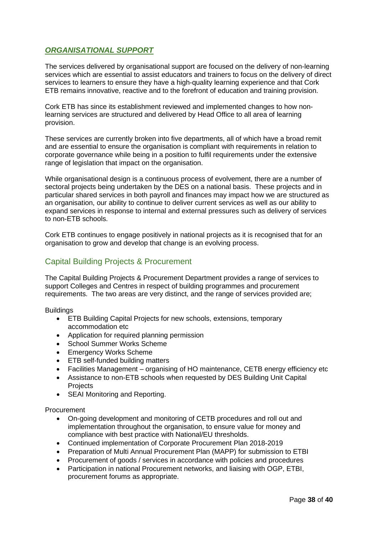## <span id="page-37-0"></span>*ORGANISATIONAL SUPPORT*

The services delivered by organisational support are focused on the delivery of non-learning services which are essential to assist educators and trainers to focus on the delivery of direct services to learners to ensure they have a high-quality learning experience and that Cork ETB remains innovative, reactive and to the forefront of education and training provision.

Cork ETB has since its establishment reviewed and implemented changes to how nonlearning services are structured and delivered by Head Office to all area of learning provision.

These services are currently broken into five departments, all of which have a broad remit and are essential to ensure the organisation is compliant with requirements in relation to corporate governance while being in a position to fulfil requirements under the extensive range of legislation that impact on the organisation.

While organisational design is a continuous process of evolvement, there are a number of sectoral projects being undertaken by the DES on a national basis. These projects and in particular shared services in both payroll and finances may impact how we are structured as an organisation, our ability to continue to deliver current services as well as our ability to expand services in response to internal and external pressures such as delivery of services to non-ETB schools.

Cork ETB continues to engage positively in national projects as it is recognised that for an organisation to grow and develop that change is an evolving process.

## <span id="page-37-1"></span>Capital Building Projects & Procurement

The Capital Building Projects & Procurement Department provides a range of services to support Colleges and Centres in respect of building programmes and procurement requirements. The two areas are very distinct, and the range of services provided are;

**Buildings** 

- ETB Building Capital Projects for new schools, extensions, temporary accommodation etc
- Application for required planning permission
- School Summer Works Scheme
- Emergency Works Scheme
- ETB self-funded building matters
- Facilities Management organising of HO maintenance, CETB energy efficiency etc
- Assistance to non-ETB schools when requested by DES Building Unit Capital **Projects**
- SEAI Monitoring and Reporting.

Procurement

- On-going development and monitoring of CETB procedures and roll out and implementation throughout the organisation, to ensure value for money and compliance with best practice with National/EU thresholds.
- Continued implementation of Corporate Procurement Plan 2018-2019
- Preparation of Multi Annual Procurement Plan (MAPP) for submission to ETBI
- Procurement of goods / services in accordance with policies and procedures
- Participation in national Procurement networks, and liaising with OGP, ETBI, procurement forums as appropriate.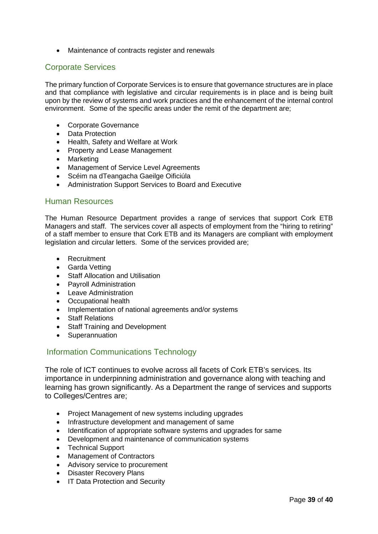• Maintenance of contracts register and renewals

### <span id="page-38-0"></span>Corporate Services

The primary function of Corporate Services is to ensure that governance structures are in place and that compliance with legislative and circular requirements is in place and is being built upon by the review of systems and work practices and the enhancement of the internal control environment. Some of the specific areas under the remit of the department are;

- Corporate Governance
- Data Protection
- Health, Safety and Welfare at Work
- Property and Lease Management
- Marketing
- Management of Service Level Agreements
- Scéim na dTeangacha Gaeilge Oificiúla
- Administration Support Services to Board and Executive

#### <span id="page-38-1"></span>Human Resources

The Human Resource Department provides a range of services that support Cork ETB Managers and staff. The services cover all aspects of employment from the "hiring to retiring" of a staff member to ensure that Cork ETB and its Managers are compliant with employment legislation and circular letters. Some of the services provided are;

- Recruitment
- Garda Vetting
- Staff Allocation and Utilisation
- Payroll Administration
- Leave Administration
- Occupational health
- Implementation of national agreements and/or systems
- Staff Relations
- Staff Training and Development
- Superannuation

#### <span id="page-38-2"></span>Information Communications Technology

The role of ICT continues to evolve across all facets of Cork ETB's services. Its importance in underpinning administration and governance along with teaching and learning has grown significantly. As a Department the range of services and supports to Colleges/Centres are;

- Project Management of new systems including upgrades
- Infrastructure development and management of same
- Identification of appropriate software systems and upgrades for same
- Development and maintenance of communication systems
- Technical Support
- Management of Contractors
- Advisory service to procurement
- Disaster Recovery Plans
- IT Data Protection and Security